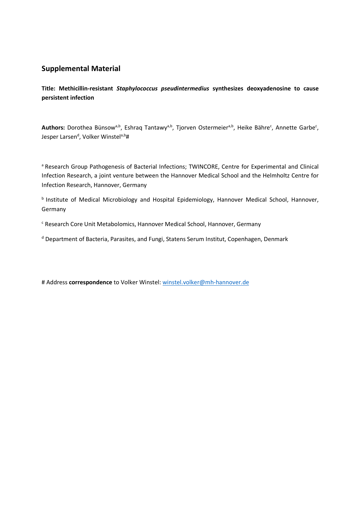## **Supplemental Material**

**Title: Methicillin-resistant** *Staphylococcus pseudintermedius* **synthesizes deoxyadenosine to cause persistent infection** 

Authors: Dorothea Bünsow<sup>a,b</sup>, Eshraq Tantawy<sup>a,b</sup>, Tjorven Ostermeier<sup>a,b</sup>, Heike Bähre<sup>c</sup>, Annette Garbe<sup>c</sup>, Jesper Larsen<sup>d</sup>, Volker Winstel<sup>a,b</sup>#

a Research Group Pathogenesis of Bacterial Infections; TWINCORE, Centre for Experimental and Clinical Infection Research, a joint venture between the Hannover Medical School and the Helmholtz Centre for Infection Research, Hannover, Germany

<sup>b</sup> Institute of Medical Microbiology and Hospital Epidemiology, Hannover Medical School, Hannover, Germany

<sup>c</sup> Research Core Unit Metabolomics, Hannover Medical School, Hannover, Germany

<sup>d</sup> Department of Bacteria, Parasites, and Fungi, Statens Serum Institut, Copenhagen, Denmark

# Address **correspondence** to Volker Winstel: winstel.volker@mh-hannover.de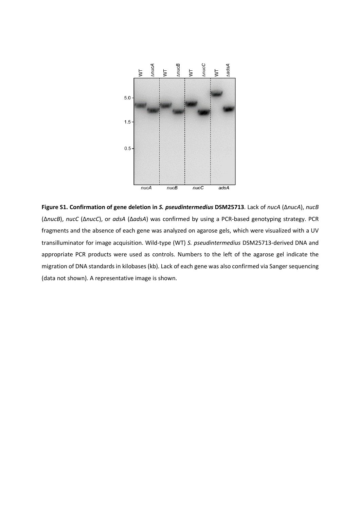

**Figure S1. Confirmation of gene deletion in** *S. pseudintermedius* **DSM25713**. Lack of *nucA* (Δ*nucA*), *nucB* (Δ*nucB*), *nucC* (Δ*nucC*), or *adsA* (Δ*adsA*) was confirmed by using a PCR-based genotyping strategy. PCR fragments and the absence of each gene was analyzed on agarose gels, which were visualized with a UV transilluminator for image acquisition. Wild-type (WT) *S. pseudintermedius* DSM25713-derived DNA and appropriate PCR products were used as controls. Numbers to the left of the agarose gel indicate the migration of DNA standards in kilobases (kb). Lack of each gene was also confirmed via Sanger sequencing (data not shown). A representative image is shown.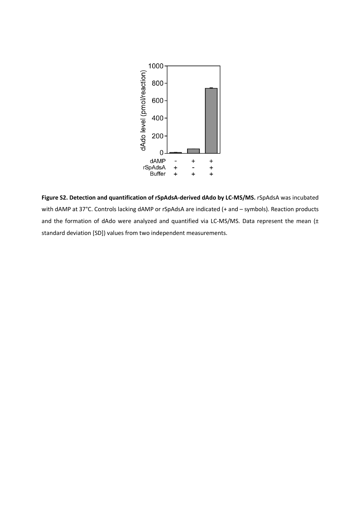

**Figure S2. Detection and quantification of rSpAdsA-derived dAdo by LC-MS/MS.** rSpAdsA was incubated with dAMP at 37°C. Controls lacking dAMP or rSpAdsA are indicated (+ and – symbols). Reaction products and the formation of dAdo were analyzed and quantified via LC-MS/MS. Data represent the mean (± standard deviation [SD]) values from two independent measurements.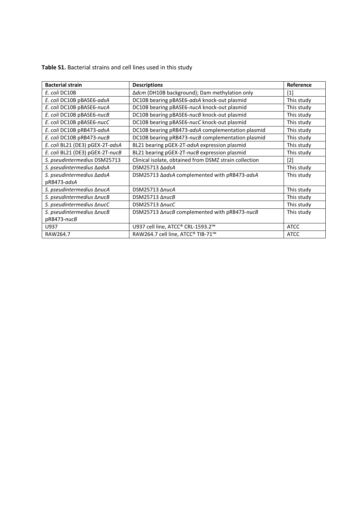**Table S1.** Bacterial strains and cell lines used in this study

| <b>Bacterial strain</b>          | <b>Descriptions</b>                                    | Reference   |
|----------------------------------|--------------------------------------------------------|-------------|
| E. coli DC10B                    | ∆dcm (DH10B background); Dam methylation only          | [1]         |
| E. coli DC10B pBASE6-adsA        | DC10B bearing pBASE6-adsA knock-out plasmid            | This study  |
| E. coli DC10B pBASE6-nucA        | DC10B bearing pBASE6-nucA knock-out plasmid            | This study  |
| E. coli DC10B pBASE6-nucB        | DC10B bearing pBASE6-nucB knock-out plasmid            | This study  |
| E. coli DC10B pBASE6-nucC        | DC10B bearing pBASE6-nucC knock-out plasmid            | This study  |
| E. coli DC10B pRB473-adsA        | DC10B bearing pRB473-adsA complementation plasmid      | This study  |
| E. coli DC10B pRB473-nucB        | DC10B bearing pRB473-nucB complementation plasmid      | This study  |
| E. coli BL21 (DE3) pGEX-2T-adsA  | BL21 bearing pGEX-2T-adsA expression plasmid           | This study  |
| E. coli BL21 (DE3) pGEX-2T-nucB  | BL21 bearing pGEX-2T-nucB expression plasmid           | This study  |
| S. pseudintermedius DSM25713     | Clinical isolate, obtained from DSMZ strain collection | $[2]$       |
| S. pseudintermedius <b>AadsA</b> | DSM25713 AadsA                                         | This study  |
| S. pseudintermedius <b>AadsA</b> | DSM25713 AadsA complemented with pRB473-adsA           | This study  |
| pRB473-adsA                      |                                                        |             |
| S. pseudintermedius AnucA        | DSM25713 AnucA                                         | This study  |
| S. pseudintermedius AnucB        | DSM25713 AnucB                                         | This study  |
| S. pseudintermedius AnucC        | DSM25713 AnucC                                         | This study  |
| S. pseudintermedius ΔnucB        | DSM25713 AnucB complemented with pRB473-nucB           | This study  |
| pRB473-nucB                      |                                                        |             |
| U937                             | U937 cell line, ATCC® CRL-1593.2™                      | <b>ATCC</b> |
| RAW264.7                         | RAW264.7 cell line, ATCC® TIB-71™                      | <b>ATCC</b> |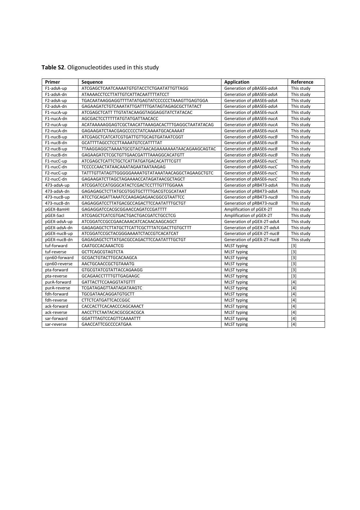| Primer        | Sequence                                           | Application                | Reference  |
|---------------|----------------------------------------------------|----------------------------|------------|
| F1-adsA-up    | ATCGAGCTCAATCAAAATGTGTACCTCTGAATATTGTTAGG          | Generation of pBASE6-adsA  | This study |
| F1-adsA-dn    | ATAAAACCTCCTTATTGTCATTACAATTTTATCCT                | Generation of pBASE6-adsA  | This study |
| F2-adsA-up    | TGACAATAAGGAGGTTTTATATGAGTATCCCCCCTAAAGTTGAGTGGA   | Generation of pBASE6-adsA  | This study |
| F2-adsA-dn    | GAGAAGATCTGTCAAATATTGATTTTGATAGTAGAGCGCTTATACT     | Generation of pBASE6-adsA  | This study |
| F1-nucA-up    | ATCGAGCTCATT TTGTATACAAGGTAGGAGGTATCTATACAC        | Generation of pBASE6-nucA  | This study |
| F1-nucA-dn    | AGCGACTCCTTTTTATGTATGATTAACACC                     | Generation of pBASE6-nucA  | This study |
| F2-nucA-up    | ACATAAAAAGGAGTCGCTAACATTAAAGACACTTTGAGGCTAATATACAG | Generation of pBASE6-nucA  | This study |
| F2-nucA-dn    | GAGAAGATCTAACGAGCCCCCTATCAAAATGCACAAAAT            | Generation of pBASE6-nucA  | This study |
| F1-nucB-up    | ATCGAGCTCATCATCGTGATTGTTGCAGTGATAATCGGT            | Generation of pBASE6-nucB  | This study |
| F1-nucB-dn    | <b>GCATTTTAGCCTCCTTAAAATGTCCATTTTAT</b>            | Generation of pBASE6-nucB  | This study |
| F2-nucB-up    | TTAAGGAGGCTAAAATGCGTAGTAACAGAAAAAAATAACAGAAGCAGTAC | Generation of pBASE6-nucB  | This study |
| F2-nucB-dn    | GAGAAGATCTCGCTGTTGAACGATTTAAAGGCACATGTT            | Generation of pBASE6-nucB  | This study |
| F1-nucC-up    | ATCGAGCTCATTCTGCTCATTATGATGACACATTTCGTT            | Generation of pBASE6-nucC  | This study |
| F1-nucC-dn    | TCCCCCAACTATAACAAATAGAATAATAAGAG                   | Generation of pBASE6-nucC  | This study |
| F2-nucC-up    | TATTTGTTATAGTTGGGGGAAAATGTATAAATAACAGGCTAGAAGCTGTC | Generation of pBASE6-nucC  | This study |
| F2-nucC-dn    | GAGAAGATCTTAGCTAGAAAACCATAGATAACGCTAGCT            | Generation of pBASE6-nucC  | This study |
| 473-adsA-up   | ATCGGATCCATGGGCATACTCGACTCCTTTGTTTGGAAA            | Generation of pRB473-adsA  | This study |
| 473-adsA-dn   | GAGAGAGCTCTTATGCGTGGTGCTTTTGACGTCGCATAAT           | Generation of pRB473-adsA  | This study |
| 473-nucB-up   | ATCCTGCAGATTAAATCCAAGAGAGAACGGCGTAATTCC            | Generation of pRB473-nucB  | This study |
| 473-nucB-dn   | GAGAGGATCCTTATGACGCCAGACTTCCAATATTTGCTGT           | Generation of pRB473-nucB  | This study |
| pGEX-BamHI    | GAGAGGATCCACGCGGAACCAGATCCGATTTT                   | Amplification of pGEX-2T   | This study |
| pGEX-Sacl     | ATCGAGCTCATCGTGACTGACTGACGATCTGCCTCG               | Amplification of pGEX-2T   | This study |
| pGEX-adsA-up  | ATCGGATCCGCCGAACAAACATCACAACAAGCAGCT               | Generation of pGEX-2T-adsA | This study |
| pGEX-adsA-dn  | GAGAGAGCTCTTATGCTTCATTCGCTTTATCGACTTGTGCTTT        | Generation of pGEX-2T-adsA | This study |
| pGEX-nucB-up  | ATCGGATCCGCTACGGGAAAATCTACCGTCACATCAT              | Generation of pGEX-2T-nucB | This study |
| pGEX-nucB-dn  | GAGAGAGCTCTTATGACGCCAGACTTCCAATATTTGCTGT           | Generation of pGEX-2T-nucB | This study |
| tuf-forward   | CAATGCCACAAACTCG                                   | <b>MLST typing</b>         | $[3]$      |
| tuf-reverse   | <b>GCTTCAGCGTAGTCTA</b>                            | <b>MLST typing</b>         | $[3]$      |
| cpn60-forward | GCGACTGTACTTGCACAAGCA                              | MLST typing                | $[3]$      |
| cpn60-reverse | AACTGCAACCGCTGTAAATG                               | MLST typing                | $[3]$      |
| pta-forward   | <b>GTGCGTATCGTATTACCAGAAGG</b>                     | MLST typing                | $[3]$      |
| pta-reverse   | <b>GCAGAACCTTTTGTTGAGAAGC</b>                      | <b>MLST</b> typing         | $[3]$      |
| purA-forward  | GATTACTTCCAAGGTATGTTT                              | <b>MLST typing</b>         | [4]        |
| purA-reverse  | TCGATAGAGTTAATAGATAAGTC                            | MLST typing                | $[4]$      |
| fdh-forward   | TGCGATAACAGGATGTGCTT                               | <b>MLST typing</b>         | $[4]$      |
| fdh-reverse   | <b>CTTCTCATGATTCACCGGC</b>                         | <b>MLST typing</b>         | [4]        |
| ack-forward   | CACCACTTCACAACCCAGCAAACT                           | <b>MLST</b> typing         | $[4]$      |
| ack-reverse   | AACCTTCTAATACACGCGCACGCA                           | <b>MLST typing</b>         | [4]        |
| sar-forward   | GGATTTAGTCCAGTTCAAAATTT                            | <b>MLST typing</b>         | $[4]$      |
| sar-reverse   | <b>GAACCATTCGCCCCATGAA</b>                         | MLST typing                | [4]        |

## **Table S2**. Oligonucleotides used in this study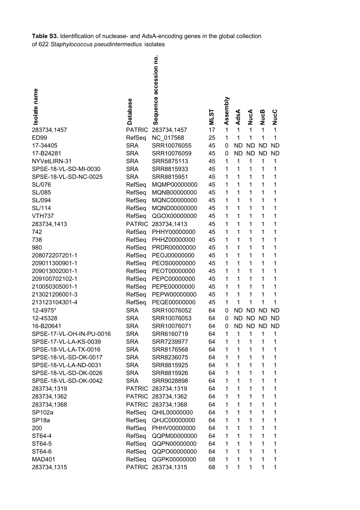**Table S3.** Identification of nuclease- and AdsA-encoding genes in the global collection of 622 *Staphylococcus pseudintermedius* isolates

|                          |                 | Sequence accession no |          |              |              |           |              |           |
|--------------------------|-----------------|-----------------------|----------|--------------|--------------|-----------|--------------|-----------|
|                          |                 |                       |          |              |              |           |              |           |
|                          |                 |                       |          |              |              |           |              |           |
| Isolate name             |                 |                       |          |              |              |           |              |           |
|                          | <b>Database</b> |                       |          | Assembly     |              |           |              |           |
|                          |                 |                       | <u>რ</u> |              |              |           |              |           |
|                          |                 |                       | ξ        |              | AdsA         | NucA      | <b>NucB</b>  | NucC      |
| 283734,1457              | <b>PATRIC</b>   | 283734,1457           | 17       | 1            | 1            | 1         | 1            | 1         |
| <b>ED99</b>              | RefSeq          | NC_017568             | 25       | 1            | 1            | 1         | 1            | 1         |
| 17-34405                 | <b>SRA</b>      | SRR10076055           | 45       | 0            | <b>ND</b>    | <b>ND</b> | <b>ND</b>    | <b>ND</b> |
| 17-B24281                | <b>SRA</b>      | SRR10076059           | 45       | 0            | <b>ND</b>    | <b>ND</b> | <b>ND</b>    | <b>ND</b> |
| NYVetLIRN-31             | <b>SRA</b>      | SRR5875113            | 45       | 1            | 1            | 1         | 1            | 1         |
| SPSE-18-VL-SD-MI-0030    | <b>SRA</b>      | SRR8815933            | 45       | 1            | 1            | 1         | 1            | 1         |
| SPSE-18-VL-SD-NC-0025    | <b>SRA</b>      | SRR8815951            | 45       | 1            | $\mathbf{1}$ | 1         | 1            | 1         |
| <b>SL/076</b>            | RefSeq          | MQMP00000000          | 45       | 1            | 1            | 1         | 1            | 1         |
| SL/085                   | RefSeq          | MQNB00000000          | 45       | 1            | 1            | 1         | 1            | 1         |
| SL/094                   | RefSeq          | MQNC00000000          | 45       | 1            | 1            | 1         | 1            | 1         |
| SL/114                   | RefSeq          | MQND00000000          | 45       | 1            | 1            | 1         | 1            | 1         |
| <b>VTH737</b>            | RefSeq          | QGOX00000000          | 45       | 1            | 1            | 1         | $\mathbf{1}$ | 1         |
| 283734,1413              |                 | PATRIC 283734,1413    | 45       | 1            | 1            | 1         | 1            | 1         |
| 742                      | RefSeq          | PHHY00000000          | 45       | 1            | 1            | 1         | 1            | 1         |
| 738                      | RefSeq          | PHHZ00000000          | 45       | 1            | 1            | 1         | 1            | 1         |
| 980                      | RefSeq          | PRDR00000000          | 45       | 1            | 1            | 1         | 1            | 1         |
| 208072207201-1           | RefSeq          | PEOJ00000000          | 45       | 1            | 1            | 1         | 1            | 1         |
| 209011300901-1           | RefSeq          | PEOS00000000          | 45       | 1            | 1            | 1         | 1            | 1         |
| 209013002001-1           | RefSeq          | PEOT00000000          | 45       | 1            | 1            | 1         | 1            | 1         |
| 209100702102-1           | RefSeq          | PEPC00000000          | 45       | 1            | 1            | 1         | 1            | 1         |
| 210050305001-1           | RefSeq          | PEPE00000000          | 45       | 1            | 1            | 1         | 1            | 1         |
| 213021206001-3           | RefSeq          | PEPW00000000          | 45       | 1            | 1            | 1         | 1            | 1         |
| 213123104301-4           | RefSeq          | PEQE00000000          | 45       | 1            | 1            | 1         | 1            | 1         |
| 12-4975*                 | <b>SRA</b>      | SRR10076052           | 64       | 0            | ND           | <b>ND</b> | <b>ND</b>    | <b>ND</b> |
| 12-45328                 | <b>SRA</b>      | SRR10076053           | 64       | 0            | <b>ND</b>    | <b>ND</b> | <b>ND</b>    | <b>ND</b> |
| 16-B20641                | <b>SRA</b>      | SRR10076071           | 64       | 0            | ND.          |           | ND ND        | ND.       |
| SPSE-17-VL-OH-IN-PU-0016 | <b>SRA</b>      | SRR6160719            | 64       | 1            | 1            | 1         | 1            | 1         |
| SPSE-17-VL-LA-KS-0039    | <b>SRA</b>      | SRR7239977            | 64       | 1            | 1            | 1         | 1            | 1         |
| SPSE-18-VL-LA-TX-0016    | <b>SRA</b>      | SRR8176568            | 64       | 1            | 1            | 1         | 1            | 1         |
| SPSE-18-VL-SD-OK-0017    | <b>SRA</b>      | SRR8236075            | 64       | 1            | 1            | 1         | 1            | 1         |
| SPSE-18-VL-LA-ND-0031    | <b>SRA</b>      | SRR8815925            | 64       | 1            | 1            | 1         | 1            | 1         |
| SPSE-18-VL-SD-OK-0026    | <b>SRA</b>      | SRR8815926            | 64       | 1            | $\mathbf{1}$ | 1         | 1            | 1         |
| SPSE-18-VL-SD-OK-0042    | <b>SRA</b>      | SRR9028898            | 64       | 1            | 1            | 1         | 1            | 1         |
| 283734,1319              | <b>PATRIC</b>   | 283734,1319           | 64       | 1            | 1            | 1         | 1            | 1         |
| 283734,1362              |                 | PATRIC 283734,1362    | 64       | 1            | 1            | 1         | 1            | 1         |
| 283734,1368              |                 | PATRIC 283734,1368    | 64       | 1            | 1            | 1         | $\mathbf{1}$ | 1         |
| SP102a                   | RefSeq          | QHIL00000000          | 64       | $\mathbf{1}$ | $\mathbf{1}$ | 1         | $\mathbf{1}$ | 1         |
| SP <sub>18a</sub>        | RefSeq          | QHJC00000000          | 64       | 1            | $\mathbf{1}$ | 1         | 1            | 1         |
| 200                      | RefSeq          | PHHV00000000          | 64       | 1            | 1            | 1         | 1            | 1         |
| ST64-4                   | RefSeq          | QQPM00000000          | 64       | 1            | 1            | 1         | 1            | 1         |
| ST64-5                   | RefSeq          | QQPN00000000          | 64       | 1            | 1            | 1         | 1            | 1         |
| ST64-6                   | RefSeq          | QQPO00000000          | 64       | 1            | $\mathbf 1$  | 1         | 1            | 1         |
| <b>MAD401</b>            | RefSeq          | QGPK00000000          | 68       | 1            | 1            | 1         | 1            | 1         |
| 283734,1315              |                 | PATRIC 283734,1315    | 68       | 1            | 1            | 1         | 1            | 1         |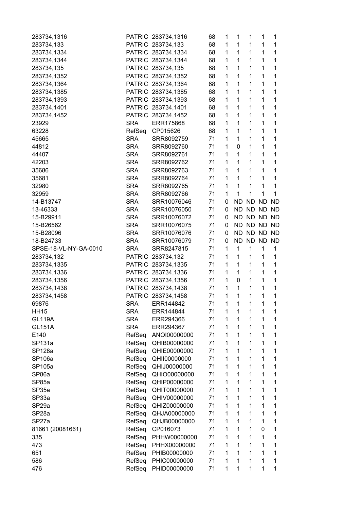| 283734,1316           |               | PATRIC 283734,1316 | 68 | 1            | 1            | 1         | 1            | 1           |
|-----------------------|---------------|--------------------|----|--------------|--------------|-----------|--------------|-------------|
| 283734,133            |               | PATRIC 283734,133  | 68 | 1            | 1            | 1         | 1            | 1           |
| 283734,1334           |               | PATRIC 283734,1334 | 68 | 1            | $\mathbf{1}$ | 1         | 1            | $\mathbf 1$ |
| 283734,1344           |               | PATRIC 283734,1344 | 68 | 1            | $\mathbf{1}$ | 1         | 1            | 1           |
| 283734,135            |               | PATRIC 283734,135  | 68 | 1            | 1            | 1         | 1            | 1           |
| 283734,1352           |               | PATRIC 283734,1352 | 68 | 1            | 1            | 1         | 1            | 1           |
| 283734,1364           |               | PATRIC 283734,1364 | 68 | 1            | 1            | 1         | 1            | 1           |
| 283734,1385           |               | PATRIC 283734,1385 | 68 | 1            | 1            | 1         | 1            | 1           |
| 283734,1393           |               | PATRIC 283734,1393 | 68 | $\mathbf{1}$ | $\mathbf 1$  | 1         | 1            | $\mathbf 1$ |
| 283734,1401           |               | PATRIC 283734,1401 | 68 | 1            | 1            | 1         | 1            | 1           |
| 283734,1452           | <b>PATRIC</b> | 283734,1452        | 68 | 1            | 1            | 1         | $\mathbf{1}$ | 1           |
| 23929                 | <b>SRA</b>    | ERR175868          | 68 | 1            | 1            | 1         | $\mathbf 1$  | 1           |
| 63228                 | RefSeq        | CP015626           | 68 | 1            | 1            | 1         | 1            | 1           |
| 45665                 | <b>SRA</b>    | SRR8092759         | 71 | 1            | 1            | 1         | 1            | 1           |
| 44812                 | <b>SRA</b>    | SRR8092760         | 71 | 1            | 0            | 1         | 1            | 1           |
| 44407                 | <b>SRA</b>    | SRR8092761         | 71 | 1            | $\mathbf{1}$ | 1         | 1            | $\mathbf 1$ |
| 42203                 | <b>SRA</b>    | SRR8092762         | 71 | 1            | 1            | 1         | 1            | 1           |
| 35686                 | <b>SRA</b>    | SRR8092763         | 71 | 1            | 1            | 1         | 1            | 1           |
| 35681                 | <b>SRA</b>    | SRR8092764         | 71 | 1            | 1            | 1         | 1            | 1           |
| 32980                 | <b>SRA</b>    | SRR8092765         | 71 | 1            | 1            | 1         | 1            | 1           |
| 32959                 | <b>SRA</b>    | SRR8092766         | 71 | 1            | 1            | 1         | 1            | 1           |
| 14-B13747             | <b>SRA</b>    | SRR10076046        | 71 | 0            | <b>ND</b>    | <b>ND</b> | <b>ND</b>    | <b>ND</b>   |
| 13-46333              | <b>SRA</b>    | SRR10076050        | 71 | 0            | <b>ND</b>    | <b>ND</b> | <b>ND</b>    | <b>ND</b>   |
| 15-B29911             | <b>SRA</b>    | SRR10076072        | 71 | 0            | <b>ND</b>    | ND.       | <b>ND</b>    | <b>ND</b>   |
| 15-B26562             | <b>SRA</b>    | SRR10076075        | 71 | 0            | <b>ND</b>    | <b>ND</b> | ND.          | <b>ND</b>   |
| 15-B28096             | <b>SRA</b>    | SRR10076076        | 71 | 0            | <b>ND</b>    | <b>ND</b> | <b>ND</b>    | <b>ND</b>   |
| 18-B24733             | <b>SRA</b>    | SRR10076079        | 71 | 0            | <b>ND</b>    | <b>ND</b> | <b>ND</b>    | <b>ND</b>   |
| SPSE-18-VL-NY-GA-0010 | <b>SRA</b>    | SRR8247815         | 71 | 1            | $\mathbf{1}$ | 1         | 1            | 1           |
| 283734,132            | <b>PATRIC</b> | 283734,132         | 71 | 1            | 1            | 1         | 1            | 1           |
| 283734,1335           | <b>PATRIC</b> | 283734,1335        | 71 | 1            | 1            | 1         | 1            | 1           |
| 283734,1336           |               | PATRIC 283734,1336 | 71 | 1            | 1            | 1         | 1            | 1           |
| 283734,1356           |               | PATRIC 283734,1356 | 71 | 1            | $\mathbf 0$  | 1         | 1            | 1           |
| 283734,1438           |               | PATRIC 283734,1438 | 71 | 1            | 1            | 1         | 1            | 1           |
| 283734,1458           |               | PATRIC 283734,1458 | 71 | $\mathbf{1}$ | $\mathbf 1$  | 1         | 1            | 1           |
| 69876                 | <b>SRA</b>    | ERR144842          | 71 | 1            | 1            | 1         | 1            | 1           |
| <b>HH15</b>           | <b>SRA</b>    | ERR144844          | 71 | 1            | 1            | 1         | 1            | 1           |
| <b>GL119A</b>         | <b>SRA</b>    | ERR294366          | 71 | 1            | 1            | 1         | 1            | 1           |
| <b>GL151A</b>         | <b>SRA</b>    | ERR294367          | 71 | 1            | 1            | 1         | 1            | 1           |
| E140                  | RefSeq        | ANOI00000000       | 71 | 1            | 1            | 1         | 1            | 1           |
| <b>SP131a</b>         | RefSeq        | QHIB00000000       | 71 | 1            | 1            | 1         | 1            | 1           |
| SP128a                | RefSeq        | QHIE00000000       | 71 | 1            | 1            | 1         | 1            | 1           |
| SP106a                | RefSeq        | QHII00000000       | 71 | 1            | 1            | 1         | 1            | 1           |
| SP105a                | RefSeq        | QHIJ00000000       | 71 | 1            | 1            | 1         | 1            | 1           |
| SP86a                 | RefSeq        | QHIO00000000       | 71 | 1            | 1            | 1         | 1            | 1           |
| SP85a                 | RefSeq        | QHIP00000000       | 71 | 1            | 1            | 1         | 1            | 1           |
| SP35a                 | RefSeq        | QHIT00000000       | 71 | 1            | 1            | 1         | 1            | 1           |
|                       |               |                    | 71 | 1            | 1            | 1         | 1            | 1           |
| SP33a                 | RefSeq        | QHIV00000000       | 71 | 1            | 1            | 1         | 1            | 1           |
| SP <sub>29a</sub>     | RefSeq        | QHIZ00000000       |    |              |              |           |              |             |
| SP <sub>28a</sub>     | RefSeq        | QHJA00000000       | 71 | 1            | 1            | 1         | 1            | 1           |
| SP27a                 | RefSeq        | QHJB00000000       | 71 | 1            | 1            | 1         | 1            | 1           |
| 81661 (20081661)      | RefSeq        | CP016073           | 71 | 1            | 1            | 1         | 0            | 1           |
| 335                   | RefSeq        | PHHW00000000       | 71 | 1            | 1            | 1         | 1            | 1           |
| 473                   | RefSeq        | PHHX00000000       | 71 | 1            | 1            | 1         | 1            | $\mathbf 1$ |
| 651                   | RefSeq        | PHIB00000000       | 71 | 1            | 1            | 1         | 1            | 1           |
| 586                   | RefSeq        | PHIC00000000       | 71 | 1            | 1            | 1         | 1            | 1           |
| 476                   | RefSeq        | PHID00000000       | 71 | 1            | 1            | 1         | 1            | 1           |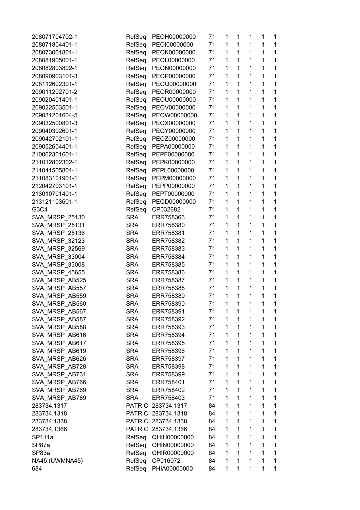| 208071704702-1        | RefSeq        | PEOH00000000       | 71 | 1 | 1            | 1            | 1 | 1            |
|-----------------------|---------------|--------------------|----|---|--------------|--------------|---|--------------|
| 208071804401-1        | RefSeq        | PEOI00000000       | 71 | 1 | 1            | 1            | 1 | 1            |
| 208073001801-1        | RefSeq        | PEOK00000000       | 71 | 1 | 1            | $\mathbf 1$  | 1 | $\mathbf{1}$ |
| 208081905001-1        | RefSeq        | PEOL00000000       | 71 | 1 | $\mathbf{1}$ | $\mathbf{1}$ | 1 | 1            |
| 208082803802-1        | RefSeq        | PEON00000000       | 71 | 1 | 1            | 1            | 1 | 1            |
| 208090903101-3        | RefSeq        | PEOP00000000       | 71 | 1 | 1            | 1            | 1 | 1            |
| 208112602301-1        | RefSeq        | PEOQ00000000       | 71 | 1 | 1            | $\mathbf 1$  | 1 | 1            |
| 209011202701-2        | RefSeq        | PEOR00000000       | 71 | 1 | 1            | $\mathbf 1$  | 1 | 1            |
| 209020401401-1        | RefSeq        | PEOU00000000       | 71 | 1 | 1            | $\mathbf{1}$ | 1 | 1            |
| 209022503501-1        | RefSeq        | PEOV00000000       | 71 | 1 | 1            | 1            | 1 | 1            |
| 209031201604-5        | RefSeq        | PEOW00000000       | 71 | 1 | 1            | 1            | 1 | 1            |
| 209032500801-3        | RefSeq        | PEOX00000000       | 71 | 1 | 1            | 1            | 1 | 1            |
| 209040302601-1        | RefSeq        | PEOY00000000       | 71 | 1 | 1            | 1            | 1 | 1            |
| 209042702101-1        | RefSeq        | PEOZ0000000        | 71 | 1 | 1            | $\mathbf 1$  | 1 | 1            |
| 209052604401-1        | RefSeq        |                    |    | 1 | 1            | $\mathbf 1$  | 1 | $\mathbf{1}$ |
|                       |               | PEPA00000000       | 71 | 1 | 1            | 1            |   | 1            |
| 210062301601-1        | RefSeq        | PEPF00000000       | 71 |   |              |              | 1 |              |
| 211012802302-1        | RefSeq        | PEPK00000000       | 71 | 1 | 1            | 1            | 1 | 1            |
| 211041505801-1        | RefSeq        | PEPL00000000       | 71 | 1 | 1            | 1            | 1 | 1            |
| 211083101901-1        | RefSeq        | PEPM00000000       | 71 | 1 | 1            | 1            | 1 | 1            |
| 212042703101-1        | RefSeq        | PEPP00000000       | 71 | 1 | 1            | $\mathbf 1$  | 1 | 1            |
| 213010701401-1        | RefSeq        | PEPT00000000       | 71 | 1 | 1            | $\mathbf 1$  | 1 | 1            |
| 213121103601-1        | RefSeq        | PEQD00000000       | 71 | 1 | 1            | 1            | 1 | 1            |
| G3C4                  | RefSeq        | CP032682           | 71 | 1 | 1            | 1            | 1 | 1            |
| SVA_MRSP_25130        | <b>SRA</b>    | ERR758366          | 71 | 1 | 1            | 1            | 1 | 1            |
| SVA_MRSP_25131        | <b>SRA</b>    | ERR758380          | 71 | 1 | 1            | 1            | 1 | 1            |
| <b>SVA MRSP 25136</b> | <b>SRA</b>    | ERR758381          | 71 | 1 | 1            | 1            | 1 | 1            |
| SVA_MRSP_32123        | <b>SRA</b>    | ERR758382          | 71 | 1 | 1            | 1            | 1 | 1            |
| SVA_MRSP_32569        | <b>SRA</b>    | ERR758383          | 71 | 1 | 1            | $\mathbf 1$  | 1 | 1            |
| SVA_MRSP_33004        | <b>SRA</b>    | ERR758384          | 71 | 1 | 1            | 1            | 1 | 1            |
| SVA_MRSP_33008        | <b>SRA</b>    | ERR758385          | 71 | 1 | 1            | 1            | 1 | 1            |
| <b>SVA MRSP 45655</b> | <b>SRA</b>    | ERR758386          | 71 | 1 | 1            | 1            | 1 | 1            |
| SVA_MRSP_AB525        | <b>SRA</b>    | ERR758387          | 71 | 1 | 1            | $\mathbf 1$  | 1 | 1            |
| SVA_MRSP_AB557        | <b>SRA</b>    | ERR758388          | 71 | 1 | 1            | $\mathbf 1$  | 1 | 1            |
| SVA_MRSP_AB559        | <b>SRA</b>    | ERR758389          | 71 | 1 | $\mathbf{1}$ | $\mathbf{1}$ | 1 | 1            |
| SVA MRSP AB560        | <b>SRA</b>    | ERR758390          | 71 | 1 | 1            | 1            | 1 | 1            |
| SVA MRSP AB567        | <b>SRA</b>    | ERR758391          | 71 | 1 | 1            | 1            | 1 | 1            |
| SVA_MRSP_AB587        | <b>SRA</b>    | ERR758392          | 71 | 1 | 1            | 1            | 1 | 1            |
| SVA MRSP AB588        | <b>SRA</b>    | ERR758393          | 71 | 1 | 1            | 1            | 1 | $\mathbf 1$  |
| SVA_MRSP_AB616        | <b>SRA</b>    | ERR758394          | 71 | 1 | 1            | 1            | 1 | $\mathbf 1$  |
| SVA MRSP AB617        | <b>SRA</b>    | ERR758395          | 71 | 1 | 1            | $\mathbf 1$  | 1 | $\mathbf 1$  |
| SVA_MRSP_AB619        | <b>SRA</b>    | ERR758396          | 71 | 1 | 1            | $\mathbf 1$  | 1 | 1            |
| SVA_MRSP_AB626        | <b>SRA</b>    | ERR758397          | 71 | 1 | 1            | 1            | 1 | 1            |
|                       |               |                    | 71 | 1 | 1            | 1            | 1 | 1            |
| SVA MRSP AB728        | <b>SRA</b>    | ERR758398          |    | 1 |              |              |   |              |
| SVA_MRSP_AB731        | <b>SRA</b>    | ERR758399          | 71 |   | 1            | 1            | 1 | 1            |
| SVA_MRSP_AB766        | <b>SRA</b>    | ERR758401          | 71 | 1 | 1            | 1            | 1 | $\mathbf 1$  |
| SVA_MRSP_AB769        | <b>SRA</b>    | ERR758402          | 71 | 1 | 1            | 1            | 1 | $\mathbf 1$  |
| SVA_MRSP_AB789        | <b>SRA</b>    | ERR758403          | 71 | 1 | 1            | $\mathbf{1}$ | 1 | 1            |
| 283734,1317           | <b>PATRIC</b> | 283734,1317        | 84 | 1 | 1            | 1            | 1 | $\mathbf 1$  |
| 283734,1318           | <b>PATRIC</b> | 283734,1318        | 84 | 1 | 1            | 1            | 1 | 1            |
| 283734,1338           |               | PATRIC 283734,1338 | 84 | 1 | 1            | 1            | 1 | 1            |
| 283734,1366           |               | PATRIC 283734,1366 | 84 | 1 | 1            | 1            | 1 | $\mathbf 1$  |
| SP111a                | RefSeq        | QHIH00000000       | 84 | 1 | 1            | 1            | 1 | $\mathbf 1$  |
| SP87a                 | RefSeq        | QHIN00000000       | 84 | 1 | $\mathbf 1$  | $\mathbf{1}$ | 1 | $\mathbf{1}$ |
| SP83a                 | RefSeq        | QHIR00000000       | 84 | 1 | 1            | $\mathbf{1}$ | 1 | 1            |
| NA45 (UWMNA45)        | RefSeq        | CP016072           | 84 | 1 | 1            | 1            | 1 | 1            |
| 684                   | RefSeq        | PHIA00000000       | 84 | 1 | 1            | 1            | 1 | 1            |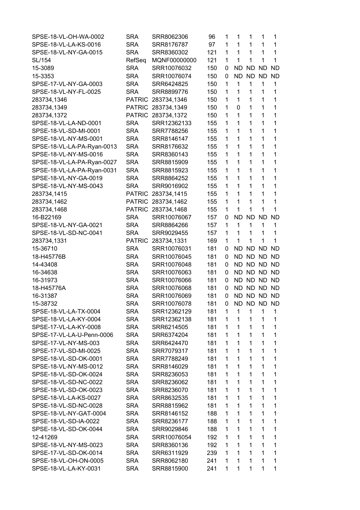| SPSE-18-VL-OH-WA-0002      | <b>SRA</b>    | SRR8062306         | 96  | 1            | 1            | $\mathbf{1}$ | 1            | 1            |
|----------------------------|---------------|--------------------|-----|--------------|--------------|--------------|--------------|--------------|
| SPSE-18-VL-LA-KS-0016      | <b>SRA</b>    | SRR8176787         | 97  | 1            | 1            | 1            | 1            | 1            |
| SPSE-18-VL-NY-GA-0015      | <b>SRA</b>    | SRR8360302         | 121 | 1            | 1            | $\mathbf{1}$ | 1            | 1            |
| SL/154                     | RefSeq        | MQNF00000000       | 121 | 1            | 1            | 1            | 1            | 1            |
| 15-3089                    | <b>SRA</b>    | SRR10076032        | 150 | 0            | <b>ND</b>    | ND.          | <b>ND</b>    | <b>ND</b>    |
| 15-3353                    | <b>SRA</b>    | SRR10076074        | 150 | 0            | <b>ND</b>    | <b>ND</b>    | <b>ND</b>    | <b>ND</b>    |
| SPSE-17-VL-NY-GA-0003      | <b>SRA</b>    | SRR6424825         | 150 | 1            | 1            | 1            | 1            | 1            |
| SPSE-18-VL-NY-FL-0025      | <b>SRA</b>    | SRR8899776         | 150 | 1            | 1            | 1            | 1            | 1            |
| 283734,1346                | <b>PATRIC</b> | 283734,1346        | 150 | $\mathbf{1}$ | 1            | $\mathbf{1}$ | 1            | 1            |
| 283734,1349                | PATRIC        | 283734,1349        | 150 | 1            | 0            | 1            | 1            | 1            |
| 283734,1372                | <b>PATRIC</b> | 283734,1372        | 150 | 1            | 1            | 1            | 1            | 1            |
| SPSE-18-VL-LA-ND-0001      | <b>SRA</b>    | SRR12362133        | 155 | $\mathbf{1}$ | 1            | 1            | 1            | 1            |
| SPSE-18-VL-SD-MI-0001      | <b>SRA</b>    | SRR7788256         | 155 | 1            | 1            | 1            | 1            | 1            |
| SPSE-18-VL-NY-MS-0001      | <b>SRA</b>    | SRR8146147         | 155 | 1            | 1            | 1            | 1            | 1            |
| SPSE-18-VL-LA-PA-Ryan-0013 | <b>SRA</b>    | SRR8176632         | 155 | $\mathbf{1}$ | 1            | 1            | 1            | 1            |
| SPSE-18-VL-NY-MS-0016      | <b>SRA</b>    | SRR8360143         | 155 | 1            | 1            | 1            | 1            | 1            |
| SPSE-18-VL-LA-PA-Ryan-0027 | <b>SRA</b>    | SRR8815909         | 155 | 1            | 1            | 1            | 1            | 1            |
| SPSE-18-VL-LA-PA-Ryan-0031 | <b>SRA</b>    | SRR8815923         | 155 | 1            | 1            | 1            | 1            | 1            |
| SPSE-18-VL-NY-GA-0019      | SRA           | SRR8864252         | 155 | 1            | 1            | 1            | 1            | 1            |
| SPSE-18-VL-NY-MS-0043      | SRA           | SRR9016902         | 155 | $\mathbf 1$  | 1            | 1            | 1            | 1            |
|                            | <b>PATRIC</b> |                    | 155 | 1            | 1            | 1            | 1            | 1            |
| 283734,1415                | <b>PATRIC</b> | 283734,1415        |     | 1            | 1            | 1            |              |              |
| 283734,1462                |               | 283734,1462        | 155 |              |              |              | 1            | 1            |
| 283734,1468                | <b>PATRIC</b> | 283734,1468        | 155 | 1            | 1            | 1            | 1            | 1            |
| 16-B22169                  | <b>SRA</b>    | SRR10076067        | 157 | 0            | <b>ND</b>    | <b>ND</b>    | <b>ND</b>    | <b>ND</b>    |
| SPSE-18-VL-NY-GA-0021      | <b>SRA</b>    | SRR8864266         | 157 | $\mathbf{1}$ | $\mathbf{1}$ | $\mathbf{1}$ | 1            | $\mathbf{1}$ |
| SPSE-18-VL-SD-NC-0041      | <b>SRA</b>    | SRR9029455         | 157 | 1            | 1            | 1            | $\mathbf{1}$ | 1            |
| 283734,1331                |               | PATRIC 283734,1331 | 169 | $\mathbf{1}$ | 1            | 1            | 1            | 1            |
| 15-36710                   | <b>SRA</b>    | SRR10076031        | 181 | 0            | <b>ND</b>    | ND.          | <b>ND</b>    | <b>ND</b>    |
| 18-H45776B                 | <b>SRA</b>    | SRR10076045        | 181 | 0            | ND           | ND.          | <b>ND</b>    | ND           |
| 14-43408                   | <b>SRA</b>    | SRR10076048        | 181 | 0            | ND.          | ND ND        |              | ND.          |
| 16-34638                   | <b>SRA</b>    | SRR10076063        | 181 | 0            | ND.          | ND ND        |              | ND           |
| 16-31973                   | <b>SRA</b>    | SRR10076066        | 181 | 0            |              | ND ND ND     |              | ND.          |
| 18-H45776A                 | <b>SRA</b>    | SRR10076068        | 181 | 0            | <b>ND</b>    | ND ND        |              | <b>ND</b>    |
| 16-31387                   | <b>SRA</b>    | SRR10076069        | 181 | 0            |              | ND ND ND     |              | <b>ND</b>    |
| 15-38732                   | <b>SRA</b>    | SRR10076078        | 181 | 0            |              | ND ND ND ND  |              |              |
| SPSE-18-VL-LA-TX-0004      | SRA           | SRR12362129        | 181 | 1            | 1            | 1            | 1            | 1            |
| SPSE-18-VL-LA-KY-0004      | <b>SRA</b>    | SRR12362138        | 181 | 1            | 1            | 1            | $\mathbf{1}$ | 1            |
| SPSE-17-VL-LA-KY-0008      | <b>SRA</b>    | SRR6214505         | 181 | 1            | 1            | 1            | 1            | 1            |
| SPSE-17-VL-LA-U-Penn-0006  | <b>SRA</b>    | SRR6374204         | 181 | 1            | 1            | 1            | 1            | 1            |
| SPSE-17-VL-NY-MS-003       | <b>SRA</b>    | SRR6424470         | 181 | 1            | 1            | 1            | 1            | 1            |
| SPSE-17-VL-SD-MI-0025      | <b>SRA</b>    | SRR7079317         | 181 | 1            | 1            | 1            | 1            | 1            |
| SPSE-18-VL-SD-OK-0001      | <b>SRA</b>    | SRR7788249         | 181 | 1            | 1            | 1            | 1            | 1            |
| SPSE-18-VL-NY-MS-0012      | <b>SRA</b>    | SRR8146029         | 181 | 1            | 1            | 1            | 1            | 1            |
| SPSE-18-VL-SD-OK-0024      | <b>SRA</b>    | SRR8236053         | 181 | 1            | 1            | 1            | 1            | 1            |
| SPSE-18-VL-SD-NC-0022      | <b>SRA</b>    | SRR8236062         | 181 | 1            | 1            | 1            | 1            | 1            |
| SPSE-18-VL-SD-OK-0023      | <b>SRA</b>    | SRR8236070         | 181 | 1            | 1            | 1            | 1            | 1            |
| SPSE-18-VL-LA-KS-0027      | SRA           | SRR8632535         | 181 | 1            | 1            | 1            | 1            | 1            |
| SPSE-18-VL-SD-NC-0028      | <b>SRA</b>    | SRR8815962         | 181 | 1            | 1            | 1            | 1            | 1            |
| SPSE-18-VL-NY-GAT-0004     | <b>SRA</b>    | SRR8146152         | 188 | 1            | 1            | 1            | 1            | 1            |
| SPSE-18-VL-SD-IA-0022      | <b>SRA</b>    | SRR8236177         | 188 | 1            | 1            | 1            | 1            | 1            |
| SPSE-18-VL-SD-OK-0044      | <b>SRA</b>    | SRR9029846         | 188 | 1            | 1            | 1            | 1            | 1            |
| 12-41269                   | <b>SRA</b>    | SRR10076054        | 192 | 1            | 1            | 1            | 1            | 1            |
| SPSE-18-VL-NY-MS-0023      | <b>SRA</b>    | SRR8360136         | 192 | 1            | 1            | 1            | 1            | 1            |
| SPSE-17-VL-SD-OK-0014      | <b>SRA</b>    | SRR6311929         | 239 | 1            | 1            | 1            | 1            | 1            |
| SPSE-18-VL-OH-ON-0005      | <b>SRA</b>    | SRR8062180         | 241 | 1            | 1            | 1            | 1            | 1            |
| SPSE-18-VL-LA-KY-0031      |               | SRR8815900         |     | 1            | 1            | 1            | 1            | $\mathbf{1}$ |
|                            | <b>SRA</b>    |                    | 241 |              |              |              |              |              |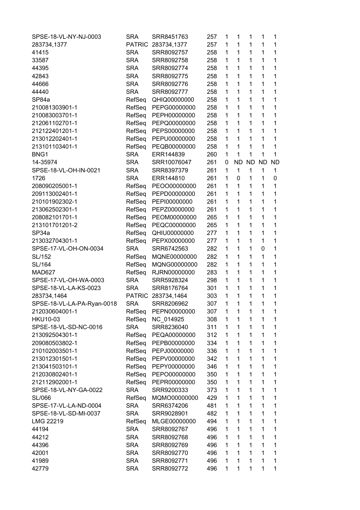| SPSE-18-VL-NY-NJ-0003      | SRA           | SRR8451763         | 257 | 1            | $\mathbf{1}$ | 1         | 1         | 1            |
|----------------------------|---------------|--------------------|-----|--------------|--------------|-----------|-----------|--------------|
| 283734,1377                |               | PATRIC 283734,1377 | 257 | 1            | 1            | 1         | 1         | 1            |
| 41415                      | <b>SRA</b>    | SRR8092757         | 258 | 1            | 1            | 1         | 1         | $\mathbf{1}$ |
| 33587                      | <b>SRA</b>    | SRR8092758         | 258 | 1            | 1            | 1         | 1         | 1            |
| 44395                      | <b>SRA</b>    | SRR8092774         | 258 | 1            | 1            | 1         | 1         | 1            |
| 42843                      | <b>SRA</b>    | SRR8092775         | 258 | $\mathbf{1}$ | $\mathbf{1}$ | 1         | 1         | 1            |
| 44666                      | <b>SRA</b>    | SRR8092776         | 258 | 1            | $\mathbf{1}$ | 1         | 1         | 1            |
| 44440                      | <b>SRA</b>    | SRR8092777         | 258 | 1            | 1            | 1         | 1         | 1            |
| SP84a                      | RefSeq        | QHIQ00000000       | 258 | 1            | $\mathbf{1}$ | 1         | 1         | 1            |
| 210081303901-1             | RefSeq        | PEPG00000000       | 258 | 1            | 1            | 1         | 1         | 1            |
| 210083003701-1             | RefSeq        | PEPH00000000       | 258 | 1            | 1            | 1         | 1         | 1            |
| 212061102701-1             | RefSeq        | PEPQ00000000       | 258 | $\mathbf{1}$ | 1            | 1         | 1         | 1            |
| 212122401201-1             | RefSeq        | PEPS00000000       | 258 | 1            | 1            | 1         | 1         | 1            |
| 213012202401-1             | RefSeq        | PEPU00000000       | 258 | 1            | $\mathbf{1}$ | 1         | 1         | 1            |
| 213101103401-1             |               |                    | 258 | $\mathbf{1}$ | $\mathbf{1}$ | 1         | 1         | 1            |
|                            | RefSeq        | PEQB00000000       |     | 1            | 1            | 1         | 1         | 1            |
| BNG1                       | <b>SRA</b>    | ERR144839          | 260 |              |              |           |           |              |
| 14-35974                   | <b>SRA</b>    | SRR10076047        | 261 | 0            | <b>ND</b>    | <b>ND</b> | <b>ND</b> | <b>ND</b>    |
| SPSE-18-VL-OH-IN-0021      | <b>SRA</b>    | SRR8397379         | 261 | 1            | 1            | 1         | 1         | 1            |
| 1726                       | <b>SRA</b>    | ERR144810          | 261 | 1            | 0            | 1         | 1         | 0            |
| 208090205001-1             | RefSeq        | PEOO00000000       | 261 | $\mathbf{1}$ | $\mathbf{1}$ | 1         | 1         | 1            |
| 209113002401-1             | RefSeq        | PEPD00000000       | 261 | 1            | 1            | 1         | 1         | 1            |
| 210101902302-1             | RefSeq        | PEPI00000000       | 261 | 1            | 1            | 1         | 1         | 1            |
| 213062502301-1             | RefSeq        | PEPZ00000000       | 261 | $\mathbf 1$  | 1            | 1         | 1         | 1            |
| 208082101701-1             | RefSeq        | PEOM00000000       | 265 | 1            | 1            | 1         | 1         | 1            |
| 213101701201-2             | RefSeq        | PEQC00000000       | 265 | $\mathbf 1$  | $\mathbf{1}$ | 1         | 1         | 1            |
| SP34a                      | RefSeq        | QHIU00000000       | 277 | $\mathbf 1$  | $\mathbf{1}$ | 1         | 1         | 1            |
| 213032704301-1             | RefSeq        | PEPX00000000       | 277 | 1            | 1            | 1         | 1         | 1            |
| SPSE-17-VL-OH-ON-0034      | <b>SRA</b>    | SRR6742563         | 282 | 1            | 1            | 1         | 0         | 1            |
| SL/152                     | RefSeq        | MQNE00000000       | 282 | $\mathbf 1$  | 1            | 1         | 1         | 1            |
| SL/164                     | RefSeq        | MQNG00000000       | 282 | 1            | 1            | 1         | 1         | 1            |
| MAD627                     | RefSeq        | RJRN00000000       | 283 | 1            | 1            | 1         | 1         | 1            |
| SPSE-17-VL-OH-WA-0003      | <b>SRA</b>    | SRR5928324         | 298 | $\mathbf{1}$ | $\mathbf{1}$ | 1         | 1         | 1            |
| SPSE-18-VL-LA-KS-0023      | <b>SRA</b>    | SRR8176764         | 301 | 1            | 1            | 1         | 1         | 1            |
| 283734,1464                | <b>PATRIC</b> | 283734,1464        | 303 | 1            | $\mathbf{1}$ | 1         | 1         | 1            |
| SPSE-18-VL-LA-PA-Ryan-0018 | <b>SRA</b>    | SRR8206962         | 307 | $\mathbf 1$  | $\mathbf 1$  | 1         | 1         | 1            |
| 212030604001-1             | RefSeq        | PEPN00000000       | 307 | 1            | 1            | 1         | 1         | 1            |
| <b>HKU10-03</b>            | RefSeq        | NC_014925          | 308 | 1            | 1            | 1         | 1         | 1            |
| SPSE-18-VL-SD-NC-0016      | <b>SRA</b>    | SRR8236040         | 311 | 1            | 1            | 1         | 1         | 1            |
| 213092504301-1             | RefSeq        | PEQA00000000       | 312 | 1            | 1            | 1         | 1         | 1            |
| 209080503802-1             | RefSeq        | PEPB00000000       | 334 | 1            | $\mathbf{1}$ | 1         | 1         | 1            |
| 210102003501-1             | RefSeq        |                    | 336 | 1            | 1            | 1         | 1         | 1            |
|                            |               | PEPJ00000000       |     |              |              |           |           |              |
| 213012301501-1             | RefSeq        | PEPV00000000       | 342 | 1            | 1            | 1         | 1         | 1            |
| 213041503101-1             | RefSeq        | PEPY00000000       | 346 | $\mathbf 1$  | 1            | 1         | 1         | 1            |
| 212030802401-1             | RefSeq        | PEPO00000000       | 350 | 1            | 1            | 1         | 1         | 1            |
| 212112902001-1             | RefSeq        | PEPR00000000       | 350 | 1            | 1            | 1         | 1         | 1            |
| SPSE-18-VL-NY-GA-0022      | <b>SRA</b>    | SRR9200333         | 373 | 1            | 1            | 1         | 1         | 1            |
| SL/066                     | RefSeq        | MQMO0000000        | 429 | 1            | 1            | 1         | 1         | 1            |
| SPSE-17-VL-LA-ND-0004      | <b>SRA</b>    | SRR6374206         | 481 | $\mathbf 1$  | 1            | 1         | 1         | 1            |
| SPSE-18-VL-SD-MI-0037      | <b>SRA</b>    | SRR9028901         | 482 | 1            | 1            | 1         | 1         | 1            |
| LMG 22219                  | RefSeq        | MLGE00000000       | 494 | 1            | 1            | 1         | 1         | 1            |
| 44194                      | <b>SRA</b>    | SRR8092767         | 496 | 1            | $\mathbf{1}$ | 1         | 1         | 1            |
| 44212                      | <b>SRA</b>    | SRR8092768         | 496 | 1            | 1            | 1         | 1         | 1            |
| 44396                      | <b>SRA</b>    | SRR8092769         | 496 | 1            | $\mathbf{1}$ | 1         | 1         | 1            |
| 42001                      | <b>SRA</b>    | SRR8092770         | 496 | 1            | 1            | 1         | 1         | 1            |
| 41989                      | <b>SRA</b>    | SRR8092771         | 496 | 1            | 1            | 1         | 1         | 1            |
| 42779                      | <b>SRA</b>    | SRR8092772         | 496 | 1            | 1            | 1         | 1         | 1            |
|                            |               |                    |     |              |              |           |           |              |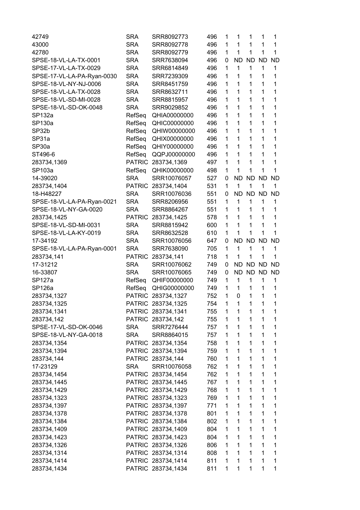| 42749                      | <b>SRA</b>    | SRR8092773         | 496 | 1            | 1         | 1            | 1            | 1            |
|----------------------------|---------------|--------------------|-----|--------------|-----------|--------------|--------------|--------------|
| 43000                      | <b>SRA</b>    | SRR8092778         | 496 | 1            | 1         | 1            | 1            | 1            |
| 42780                      | <b>SRA</b>    | SRR8092779         | 496 | 1            | 1         | $\mathbf 1$  | 1            | 1            |
| SPSE-18-VL-LA-TX-0001      | <b>SRA</b>    | SRR7638094         | 496 | 0            | <b>ND</b> | <b>ND</b>    | <b>ND</b>    | <b>ND</b>    |
| SPSE-17-VL-LA-TX-0029      | <b>SRA</b>    | SRR6814849         | 496 | $\mathbf 1$  | 1         | $\mathbf{1}$ | 1            | 1            |
| SPSE-17-VL-LA-PA-Ryan-0030 | <b>SRA</b>    | SRR7239309         | 496 | 1            | 1         | 1            | 1            | 1            |
| SPSE-18-VL-NY-NJ-0006      | <b>SRA</b>    | SRR8451759         | 496 | 1            | 1         | 1            | 1            | 1            |
| SPSE-18-VL-LA-TX-0028      | <b>SRA</b>    | SRR8632711         | 496 | $\mathbf{1}$ | 1         | 1            | 1            | 1            |
| SPSE-18-VL-SD-MI-0028      | <b>SRA</b>    | SRR8815957         | 496 | 1            | 1         | 1            | 1            | 1            |
| SPSE-18-VL-SD-OK-0048      | <b>SRA</b>    | SRR9029852         | 496 | 1            | 1         | 1            | 1            | 1            |
| <b>SP132a</b>              | RefSeq        | QHIA00000000       | 496 | $\mathbf{1}$ | 1         | 1            | 1            | 1            |
|                            |               |                    |     |              |           |              |              |              |
| SP130a                     | RefSeq        | QHIC00000000       | 496 | 1            | 1         | 1            | 1            | 1            |
| SP32b                      | RefSeq        | QHIW00000000       | 496 | 1            | 1         | 1            | 1            | 1            |
| SP31a                      | RefSeq        | QHIX00000000       | 496 | $\mathbf{1}$ | 1         | 1            | 1            | 1            |
| SP30a                      | RefSeq        | QHIY00000000       | 496 | 1            | 1         | 1            | 1            | 1            |
| ST496-6                    | RefSeq        | QQPJ00000000       | 496 | 1            | 1         | 1            | $\mathbf{1}$ | 1            |
| 283734,1369                |               | PATRIC 283734,1369 | 497 | $\mathbf{1}$ | 1         | $\mathbf 1$  | 1            | 1            |
| SP103a                     | RefSeq        | QHIK00000000       | 498 | 1            | 1         | 1            | 1            | 1            |
| 14-39020                   | <b>SRA</b>    | SRR10076057        | 527 | 0            | <b>ND</b> | <b>ND</b>    | <b>ND</b>    | <b>ND</b>    |
| 283734,1404                |               | PATRIC 283734,1404 | 531 | 1            | 1         | 1            | $\mathbf{1}$ | $\mathbf{1}$ |
| 18-H48227                  | <b>SRA</b>    | SRR10076036        | 551 | 0            |           | ND ND        | <b>ND</b>    | <b>ND</b>    |
| SPSE-18-VL-LA-PA-Ryan-0021 | <b>SRA</b>    | SRR8206956         | 551 | 1            | 1         | 1            | 1            | 1            |
| SPSE-18-VL-NY-GA-0020      | <b>SRA</b>    | SRR8864267         | 551 | 1            | 1         | $\mathbf{1}$ | 1            | 1            |
| 283734,1425                | <b>PATRIC</b> | 283734,1425        | 578 | 1            | 1         | 1            | 1            | 1            |
| SPSE-18-VL-SD-MI-0031      | <b>SRA</b>    | SRR8815942         | 600 | 1            | 1         | 1            | 1            | 1            |
| SPSE-18-VL-LA-KY-0019      | <b>SRA</b>    | SRR8632528         | 610 | 1            | 1         | 1            | 1            | 1            |
| 17-34192                   | SRA           | SRR10076056        | 647 | 0            | <b>ND</b> | <b>ND</b>    | <b>ND</b>    | <b>ND</b>    |
|                            |               | SRR7638090         | 705 | $\mathbf{1}$ | 1         | 1            | $\mathbf{1}$ | 1            |
| SPSE-18-VL-LA-PA-Ryan-0001 | SRA           |                    |     |              |           |              |              |              |
| 283734,141                 |               | PATRIC 283734,141  | 718 | 1            | 1         | 1            | 1            | 1            |
| 17-31212                   | <b>SRA</b>    | SRR10076062        | 749 | 0            | <b>ND</b> | <b>ND</b>    | <b>ND</b>    | <b>ND</b>    |
| 16-33807                   | <b>SRA</b>    | SRR10076065        | 749 | 0            | <b>ND</b> | <b>ND</b>    | <b>ND</b>    | <b>ND</b>    |
| SP127a                     | RefSeq        | QHIF00000000       | 749 | 1            | 1         | 1            | 1            | 1            |
| SP126a                     | RefSeq        | QHIG00000000       | 749 | 1            | 1         | 1            | $\mathbf{1}$ | 1            |
| 283734,1327                |               | PATRIC 283734,1327 | 752 | $\mathbf 1$  | 0         | 1            | 1            | 1            |
| 283734,1325                |               | PATRIC 283734,1325 | 754 | 1            | 1         | 1            | 1            | 1            |
| 283734,1341                |               | PATRIC 283734,1341 | 755 | $\mathbf{1}$ | 1         | 1            | 1            | 1            |
| 283734,142                 |               | PATRIC 283734,142  | 755 | 1            | 1         | 1            | 1            | 1            |
| SPSE-17-VL-SD-OK-0046      | SRA           | SRR7276444         | 757 | $\mathbf{1}$ | 1         | 1            | 1            | 1            |
| SPSE-18-VL-NY-GA-0018      | SRA           | SRR8864015         | 757 | $\mathbf{1}$ | 1         | $\mathbf{1}$ | 1            | 1            |
| 283734,1354                |               | PATRIC 283734,1354 | 758 | 1            | 1         | $\mathbf{1}$ | $\mathbf{1}$ | 1            |
| 283734,1394                |               | PATRIC 283734,1394 | 759 | $\mathbf{1}$ | 1         | $\mathbf{1}$ | $\mathbf{1}$ | 1            |
| 283734,144                 |               | PATRIC 283734,144  | 760 | 1            | 1         | $\mathbf{1}$ | $\mathbf{1}$ | 1            |
| 17-23129                   | <b>SRA</b>    | SRR10076058        | 762 | 1            | 1         | $\mathbf{1}$ | 1            | 1            |
| 283734,1454                |               | PATRIC 283734,1454 | 762 | 1            | 1         | $\mathbf{1}$ | 1            | 1            |
| 283734,1445                |               | PATRIC 283734,1445 | 767 | 1            | 1         | $\mathbf{1}$ | 1            | 1            |
| 283734,1429                |               | PATRIC 283734,1429 | 768 | $\mathbf{1}$ | 1         | 1            | $\mathbf{1}$ | 1            |
|                            |               |                    |     |              | 1         | $\mathbf{1}$ | $\mathbf{1}$ |              |
| 283734,1323                |               | PATRIC 283734,1323 | 769 | 1            |           | $\mathbf{1}$ | $\mathbf{1}$ | 1            |
| 283734,1397                |               | PATRIC 283734,1397 | 771 | 1            | 1         |              |              | 1            |
| 283734,1378                |               | PATRIC 283734,1378 | 801 | $\mathbf{1}$ | 1         | $\mathbf{1}$ | 1            | 1            |
| 283734,1384                |               | PATRIC 283734,1384 | 802 | $\mathbf{1}$ | 1         | $\mathbf{1}$ | 1            | 1            |
| 283734,1409                |               | PATRIC 283734,1409 | 804 | 1            | 1         | 1            | 1            | 1            |
| 283734,1423                |               | PATRIC 283734,1423 | 804 | $\mathbf{1}$ | 1         | 1            | $\mathbf{1}$ | 1            |
| 283734,1326                |               | PATRIC 283734,1326 | 806 | $\mathbf{1}$ | 1         | $\mathbf{1}$ | $\mathbf{1}$ | 1            |
| 283734,1314                |               | PATRIC 283734,1314 | 808 | 1            | 1         | $\mathbf{1}$ | 1            | 1            |
| 283734,1414                |               | PATRIC 283734,1414 | 811 | $\mathbf{1}$ | 1         | $\mathbf{1}$ | $\mathbf{1}$ | 1            |
| 283734,1434                |               | PATRIC 283734,1434 | 811 | 1            | 1         | 1            | $\mathbf 1$  | 1            |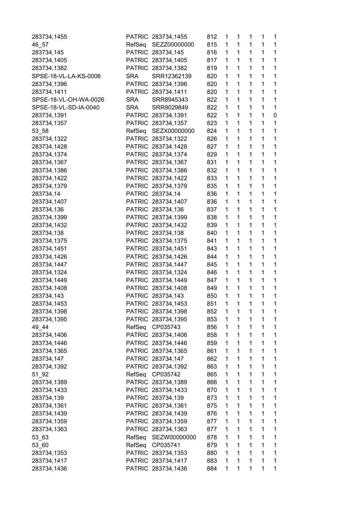| 283734,1455           |               | PATRIC 283734,1455 | 812 | 1 | 1 | 1            | 1 | 1            |
|-----------------------|---------------|--------------------|-----|---|---|--------------|---|--------------|
| 46_57                 | RefSeq        | SEZZ00000000       | 815 | 1 | 1 | 1            | 1 | $\mathbf 1$  |
| 283734,145            |               | PATRIC 283734,145  | 816 | 1 | 1 | $\mathbf 1$  | 1 | $\mathbf 1$  |
| 283734,1405           |               | PATRIC 283734,1405 | 817 | 1 | 1 | 1            | 1 | $\mathbf 1$  |
| 283734,1382           |               | PATRIC 283734,1382 | 819 | 1 | 1 | 1            | 1 | $\mathbf{1}$ |
| SPSE-18-VL-LA-KS-0006 | <b>SRA</b>    | SRR12362139        | 820 | 1 | 1 | 1            | 1 | $\mathbf 1$  |
| 283734,1396           |               | PATRIC 283734,1396 | 820 | 1 | 1 | 1            | 1 | 1            |
| 283734,1411           |               | PATRIC 283734,1411 | 820 | 1 | 1 | $\mathbf 1$  | 1 | 1            |
| SPSE-18-VL-OH-WA-0026 | <b>SRA</b>    | SRR8945343         | 822 | 1 | 1 | $\mathbf 1$  | 1 | $\mathbf{1}$ |
| SPSE-18-VL-SD-IA-0040 | <b>SRA</b>    | SRR9029849         | 822 | 1 | 1 | $\mathbf 1$  | 1 | $\mathbf 1$  |
| 283734,1391           |               | PATRIC 283734,1391 | 822 | 1 | 1 | $\mathbf{1}$ | 1 | $\pmb{0}$    |
| 283734,1357           | <b>PATRIC</b> | 283734,1357        | 823 | 1 | 1 | 1            | 1 | 1            |
| 53_58                 | RefSeq        | SEZX00000000       | 824 | 1 | 1 | 1            | 1 | $\mathbf 1$  |
| 283734,1322           |               | PATRIC 283734,1322 | 826 | 1 | 1 | $\mathbf 1$  | 1 | 1            |
| 283734,1428           |               | PATRIC 283734,1428 | 827 | 1 | 1 | $\mathbf 1$  | 1 | 1            |
| 283734,1374           |               | PATRIC 283734,1374 | 829 | 1 | 1 | 1            | 1 | $\mathbf 1$  |
| 283734,1367           |               | PATRIC 283734,1367 | 831 | 1 | 1 | $\mathbf{1}$ | 1 | $\mathbf{1}$ |
| 283734,1386           |               | PATRIC 283734,1386 | 832 | 1 | 1 | 1            | 1 | $\mathbf 1$  |
| 283734,1422           |               | PATRIC 283734,1422 | 833 | 1 | 1 | 1            | 1 | $\mathbf 1$  |
| 283734,1379           |               | PATRIC 283734,1379 | 835 | 1 | 1 | $\mathbf 1$  | 1 | 1            |
| 283734,14             |               | PATRIC 283734,14   | 836 | 1 | 1 | 1            | 1 | 1            |
| 283734,1407           |               | PATRIC 283734,1407 | 836 | 1 | 1 | $\mathbf 1$  | 1 | $\mathbf 1$  |
| 283734,136            |               | PATRIC 283734,136  | 837 | 1 | 1 | $\mathbf 1$  | 1 | $\mathbf{1}$ |
| 283734,1399           |               | PATRIC 283734,1399 | 838 | 1 | 1 | 1            | 1 | 1            |
| 283734,1432           |               | PATRIC 283734,1432 | 839 | 1 | 1 | 1            | 1 | 1            |
| 283734,138            |               | PATRIC 283734,138  | 840 | 1 | 1 | $\mathbf 1$  | 1 | 1            |
| 283734,1375           |               | PATRIC 283734,1375 | 841 | 1 | 1 | 1            | 1 | 1            |
| 283734,1451           |               | PATRIC 283734,1451 | 843 | 1 | 1 | $\mathbf 1$  | 1 | $\mathbf{1}$ |
| 283734,1426           |               | PATRIC 283734,1426 | 844 | 1 | 1 | $\mathbf 1$  | 1 | $\mathbf 1$  |
| 283734,1447           |               | PATRIC 283734,1447 | 845 | 1 | 1 | 1            | 1 | $\mathbf{1}$ |
| 283734,1324           |               | PATRIC 283734,1324 | 846 | 1 | 1 | 1            | 1 | 1            |
| 283734,1449           |               | PATRIC 283734,1449 | 847 | 1 | 1 | 1            | 1 | 1            |
| 283734,1408           |               | PATRIC 283734,1408 | 849 | 1 | 1 | $\mathbf 1$  | 1 | 1            |
| 283734,143            |               | PATRIC 283734,143  | 850 | 1 | 1 | $\mathbf 1$  | 1 | 1            |
|                       |               |                    |     | 1 | 1 | 1            | 1 | 1            |
| 283734,1453           |               | PATRIC 283734,1453 | 851 |   |   |              |   |              |
| 283734,1398           |               | PATRIC 283734,1398 | 852 | 1 | 1 | 1            | 1 | 1            |
| 283734,1395           |               | PATRIC 283734,1395 | 853 | 1 | 1 | 1            | 1 | 1            |
| 49_44                 | RefSeq        | CP035743           | 856 | 1 | 1 | 1            | 1 | $\mathbf 1$  |
| 283734,1406           |               | PATRIC 283734,1406 | 858 | 1 | 1 | $\mathbf 1$  | 1 | 1            |
| 283734,1446           |               | PATRIC 283734,1446 | 859 | 1 | 1 | 1            | 1 | 1            |
| 283734,1365           |               | PATRIC 283734,1365 | 861 | 1 | 1 | $\mathbf 1$  | 1 | $\mathbf{1}$ |
| 283734,147            |               | PATRIC 283734,147  | 862 | 1 | 1 | 1            | 1 | 1            |
| 283734,1392           | PATRIC        | 283734,1392        | 863 | 1 | 1 | 1            | 1 | 1            |
| $51 - 92$             | RefSeq        | CP035742           | 865 | 1 | 1 | 1            | 1 | 1            |
| 283734,1389           |               | PATRIC 283734,1389 | 866 | 1 | 1 | $\mathbf 1$  | 1 | 1            |
| 283734,1433           |               | PATRIC 283734,1433 | 870 | 1 | 1 | 1            | 1 | $\mathbf 1$  |
| 283734,139            |               | PATRIC 283734,139  | 873 | 1 | 1 | $\mathbf 1$  | 1 | $\mathbf 1$  |
| 283734,1361           |               | PATRIC 283734,1361 | 875 | 1 | 1 | 1            | 1 | $\mathbf 1$  |
| 283734,1439           |               | PATRIC 283734,1439 | 876 | 1 | 1 | 1            | 1 | 1            |
| 283734,1359           |               | PATRIC 283734,1359 | 877 | 1 | 1 | 1            | 1 | 1            |
| 283734,1363           |               | PATRIC 283734,1363 | 877 | 1 | 1 | 1            | 1 | 1            |
| 53_63                 | RefSeq        | SEZW00000000       | 878 | 1 | 1 | 1            | 1 | 1            |
| 53_60                 | RefSeq        | CP035741           | 879 | 1 | 1 | $\mathbf 1$  | 1 | $\mathbf{1}$ |
| 283734,1353           |               | PATRIC 283734,1353 | 880 | 1 | 1 | 1            | 1 | 1            |
| 283734,1417           | <b>PATRIC</b> | 283734,1417        | 883 | 1 | 1 | 1            | 1 | $\mathbf{1}$ |
| 283734,1436           |               | PATRIC 283734,1436 | 884 | 1 | 1 | 1            | 1 | 1            |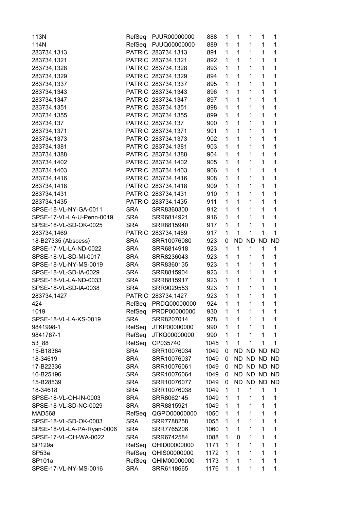| 113N                       | RefSeq               | PJUR00000000       | 888          | 1            | 1            | 1         | $\mathbf{1}$ | 1           |
|----------------------------|----------------------|--------------------|--------------|--------------|--------------|-----------|--------------|-------------|
| 114N                       | RefSeq               | PJUQ00000000       | 889          | 1            | 1            | 1         | 1            | 1           |
| 283734,1313                |                      | PATRIC 283734,1313 | 891          | $\mathbf{1}$ | 1            | 1         | 1            | 1           |
| 283734,1321                |                      | PATRIC 283734,1321 | 892          | 1            | $\mathbf{1}$ | 1         | 1            | 1           |
| 283734,1328                |                      | PATRIC 283734,1328 | 893          | 1            | $\mathbf{1}$ | 1         | 1            | 1           |
| 283734,1329                |                      | PATRIC 283734,1329 | 894          | 1            | $\mathbf{1}$ | 1         | 1            | 1           |
| 283734,1337                |                      | PATRIC 283734,1337 | 895          | 1            | 1            | 1         | 1            | 1           |
| 283734,1343                |                      | PATRIC 283734,1343 | 896          | 1            | 1            | 1         | 1            | 1           |
| 283734,1347                |                      | PATRIC 283734,1347 | 897          | 1            | 1            | 1         | $\mathbf{1}$ | 1           |
| 283734,1351                |                      | PATRIC 283734,1351 | 898          | 1            | 1            | 1         | 1            | 1           |
| 283734,1355                |                      | PATRIC 283734,1355 | 899          | 1            | 1            | 1         | 1            | 1           |
| 283734,137                 |                      | PATRIC 283734,137  | 900          | 1            | 1            | 1         | $\mathbf{1}$ | 1           |
| 283734,1371                |                      | PATRIC 283734,1371 | 901          | 1            | 1            | 1         | 1            | 1           |
| 283734,1373                |                      | PATRIC 283734,1373 | 902          | 1            | $\mathbf{1}$ | 1         | 1            | 1           |
| 283734,1381                |                      | PATRIC 283734,1381 | 903          | 1            | 1            | 1         | $\mathbf 1$  | 1           |
| 283734,1388                |                      | PATRIC 283734,1388 | 904          | 1            | 1            | 1         | 1            | 1           |
| 283734,1402                |                      | PATRIC 283734,1402 | 905          | 1            | 1            | 1         | 1            | 1           |
| 283734,1403                |                      | PATRIC 283734,1403 | 906          | $\mathbf{1}$ | 1            | 1         | 1            | 1           |
| 283734,1416                |                      | PATRIC 283734,1416 | 908          | 1            | 1            | 1         | 1            | 1           |
| 283734,1418                |                      | PATRIC 283734,1418 | 909          | 1            | $\mathbf{1}$ | 1         | $\mathbf 1$  | 1           |
| 283734,1431                |                      | PATRIC 283734,1431 | 910          | 1            | $\mathbf{1}$ | 1         | 1            | 1           |
| 283734,1435                | <b>PATRIC</b>        | 283734,1435        | 911          | 1            | 1            | 1         | 1            | 1           |
| SPSE-18-VL-NY-GA-0011      | <b>SRA</b>           | SRR8360300         | 912          | 1            | 1            | 1         | 1            | 1           |
| SPSE-17-VL-LA-U-Penn-0019  | <b>SRA</b>           | SRR6814921         | 916          | 1            | 1            | 1         | 1            | 1           |
| SPSE-18-VL-SD-OK-0025      | <b>SRA</b>           | SRR8815940         | 917          | 1            | 1            | 1         | 1            | 1           |
| 283734,1469                |                      | PATRIC 283734,1469 | 917          | $\mathbf 1$  | 1            | 1         | 1            | $\mathbf 1$ |
| 18-B27335 (Abscess)        | <b>SRA</b>           | SRR10076080        | 923          | 0            | ND           | <b>ND</b> | <b>ND</b>    | <b>ND</b>   |
| SPSE-17-VL-LA-ND-0022      | <b>SRA</b>           | SRR6814918         | 923          | 1            | 1            | 1         | 1            | 1           |
| SPSE-18-VL-SD-MI-0017      | <b>SRA</b>           | SRR8236043         | 923          | 1            | 1            | 1         | 1            | 1           |
| SPSE-18-VL-NY-MS-0019      | <b>SRA</b>           | SRR8360135         | 923          | 1            | $\mathbf{1}$ | 1         | 1            | 1           |
| SPSE-18-VL-SD-IA-0029      | <b>SRA</b>           | SRR8815904         | 923          | 1            | $\mathbf 1$  | 1         | 1            | 1           |
| SPSE-18-VL-LA-ND-0033      | <b>SRA</b>           | SRR8815917         | 923          | 1            | $\mathbf{1}$ | 1         | $\mathbf{1}$ | 1           |
| SPSE-18-VL-SD-IA-0038      | <b>SRA</b>           | SRR9029553         | 923          | 1            | 1            | 1         | 1            | 1           |
| 283734,1427                | <b>PATRIC</b>        | 283734,1427        | 923          | 1            | 1            | 1         | 1            | 1           |
| 424                        | RefSeq               | PRDQ00000000       | 924          | 1            | $\mathbf 1$  | 1         | 1            | 1           |
| 1019                       | RefSeq               | PRDP00000000       | 930          | 1            | 1            | 1         | 1            | 1           |
| SPSE-18-VL-LA-KS-0019      | <b>SRA</b>           | SRR8207014         | 978          | 1            | $\mathbf 1$  | 1         | 1            | 1           |
| 9841998-1                  | RefSeq               | JTKP00000000       | 990          | 1            | $\mathbf 1$  | 1         | 1            | 1           |
| 9841787-1                  | RefSeq               | JTKQ00000000       | 990          | 1            | 1            | 1         | 1            | 1           |
|                            |                      | CP035740           |              | 1            | 1            | 1         | 1            | 1           |
| 53 88<br>15-B18384         | RefSeq<br><b>SRA</b> | SRR10076034        | 1045<br>1049 | 0            | <b>ND</b>    | <b>ND</b> | <b>ND</b>    | <b>ND</b>   |
| 18-34619                   | <b>SRA</b>           |                    | 1049         | 0            | ND           | ND.       | <b>ND</b>    |             |
|                            |                      | SRR10076037        |              |              |              |           |              | <b>ND</b>   |
| 17-B22336                  | <b>SRA</b>           | SRR10076061        | 1049         | 0            | ND           |           | ND ND        | ND          |
| 16-B25196                  | <b>SRA</b>           | SRR10076064        | 1049         | 0            | ND           |           | ND ND        | ND          |
| 15-B28539                  | <b>SRA</b>           | SRR10076077        | 1049         | 0            | ND.          | ND.       | <b>ND</b>    | ND          |
| 18-34618                   | <b>SRA</b>           | SRR10076038        | 1049         | 1            | 1            | 1         | 1            | 1           |
| SPSE-18-VL-OH-IN-0003      | <b>SRA</b>           | SRR8062145         | 1049         | 1            | 1            | 1         | 1            | 1           |
| SPSE-18-VL-SD-NC-0029      | <b>SRA</b>           | SRR8815921         | 1049         | 1            | 1            | 1         | 1            | 1           |
| <b>MAD568</b>              | RefSeq               | QGPO00000000       | 1050         | 1            | 1            | 1         | 1            | 1           |
| SPSE-18-VL-SD-OK-0003      | <b>SRA</b>           | SRR7788258         | 1055         | 1            | 1            | 1         | 1            | 1           |
| SPSE-18-VL-LA-PA-Ryan-0006 | <b>SRA</b>           | SRR7765206         | 1060         | 1            | 1            | 1         | 1            | $\mathbf 1$ |
| SPSE-17-VL-OH-WA-0022      | <b>SRA</b>           | SRR6742584         | 1088         | 1            | 0            | 1         | 1            | 1           |
| SP129a                     | RefSeq               | QHID00000000       | 1171         | 1            | 1            | 1         | 1            | 1           |
| SP <sub>53a</sub>          | RefSeq               | QHIS00000000       | 1172         | 1            | 1            | 1         | 1            | 1           |
| SP101a                     | RefSeq               | QHIM00000000       | 1173         | 1            | 1            | 1         | 1            | 1           |
| SPSE-17-VL-NY-MS-0016      | <b>SRA</b>           | SRR6118665         | 1176         | 1            | 1            | 1         | 1            | 1           |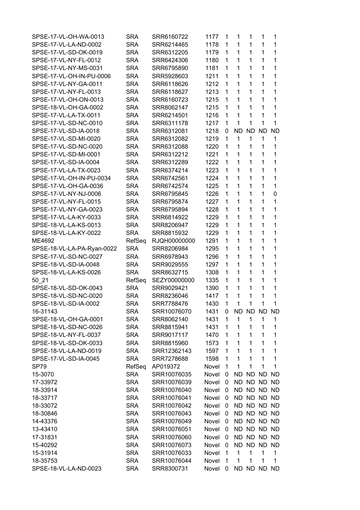| SPSE-17-VL-OH-WA-0013      | <b>SRA</b> | SRR6160722   | 1177  | 1              | 1         | 1            | 1            | 1         |
|----------------------------|------------|--------------|-------|----------------|-----------|--------------|--------------|-----------|
| SPSE-17-VL-LA-ND-0002      | <b>SRA</b> | SRR6214465   | 1178  | 1              | 1         | $\mathbf 1$  | $\mathbf{1}$ | 1         |
| SPSE-17-VL-SD-OK-0019      | <b>SRA</b> | SRR6312205   | 1179  | 1              | 1         | 1            | 1            | 1         |
| SPSE-17-VL-NY-FL-0012      | <b>SRA</b> | SRR6424306   | 1180  | 1              | 1         | 1            | 1            | 1         |
| SPSE-17-VL-NY-MS-0031      | <b>SRA</b> | SRR6795890   | 1181  | 1              | 1         | 1            | 1            | 1         |
| SPSE-17-VL-OH-IN-PU-0006   | <b>SRA</b> | SRR5928603   | 1211  | 1              | 1         | 1            | 1            | 1         |
| SPSE-17-VL-NY-GA-0011      | <b>SRA</b> | SRR6118626   | 1212  | 1              | 1         | 1            | 1            | 1         |
| SPSE-17-VL-NY-FL-0013      | <b>SRA</b> | SRR6118627   | 1213  | 1              | 1         | 1            | 1            | 1         |
| SPSE-17-VL-OH-ON-0013      | <b>SRA</b> | SRR6160723   | 1215  | 1              | 1         | 1            | 1            | 1         |
| SPSE-18-VL-OH-GA-0002      | <b>SRA</b> | SRR8062147   | 1215  | 1              | 1         | 1            | 1            | 1         |
| SPSE-17-VL-LA-TX-0011      | <b>SRA</b> | SRR6214501   | 1216  | 1              | 1         | 1            | 1            | 1         |
| SPSE-17-VL-SD-NC-0010      | <b>SRA</b> | SRR6311178   | 1217  | 1              | 1         | 1            | 1            | 1         |
| SPSE-17-VL-SD-IA-0018      | <b>SRA</b> | SRR6312081   | 1218  | 0              | <b>ND</b> | <b>ND</b>    | <b>ND</b>    | <b>ND</b> |
| SPSE-17-VL-SD-MI-0020      | <b>SRA</b> | SRR6312082   | 1219  | $\mathbf{1}$   | 1         | $\mathbf{1}$ | $\mathbf{1}$ | 1         |
| SPSE-17-VL-SD-NC-0020      | <b>SRA</b> | SRR6312088   | 1220  | 1              | 1         | 1            | 1            | 1         |
| SPSE-17-VL-SD-MI-0001      | <b>SRA</b> | SRR6312212   | 1221  | 1              | 1         | 1            | 1            | 1         |
| SPSE-17-VL-SD-IA-0004      | <b>SRA</b> | SRR6312289   | 1222  | 1              | 1         | 1            | 1            | 1         |
| SPSE-17-VL-LA-TX-0023      | <b>SRA</b> | SRR6374214   | 1223  | 1              | 1         | 1            | 1            | 1         |
| SPSE-17-VL-OH-IN-PU-0034   | <b>SRA</b> | SRR6742561   | 1224  | $\mathbf 1$    | 1         | 1            | 1            | 1         |
| SPSE-17-VL-OH-GA-0036      | <b>SRA</b> | SRR6742574   | 1225  | 1              | 1         | 1            | 1            | 1         |
| SPSE-17-VL-NY-NJ-0006      | <b>SRA</b> | SRR6795845   | 1226  | 1              | 1         | 1            | 1            | 0         |
| SPSE-17-VL-NY-FL-0015      | <b>SRA</b> | SRR6795874   | 1227  | 1              | 1         | 1            | 1            | 1         |
| SPSE-17-VL-NY-GA-0023      | SRA        | SRR6795894   | 1228  | 1              | 1         | 1            | 1            | 1         |
| SPSE-17-VL-LA-KY-0033      | SRA        | SRR6814922   | 1229  | 1              | 1         | 1            | 1            | 1         |
| SPSE-18-VL-LA-KS-0013      | <b>SRA</b> | SRR8206947   | 1229  | 1              | 1         | 1            | $\mathbf{1}$ | 1         |
| SPSE-18-VL-LA-KY-0022      | <b>SRA</b> | SRR8815932   | 1229  | 1              | 1         | 1            | $\mathbf{1}$ | 1         |
| ME4692                     | RefSeq     | RJQH00000000 | 1291  | 1              | 1         | 1            | $\mathbf{1}$ | 1         |
| SPSE-18-VL-LA-PA-Ryan-0022 | <b>SRA</b> | SRR8206984   | 1295  | 1              | 1         | 1            | 1            | 1         |
| SPSE-17-VL-SD-NC-0027      | <b>SRA</b> | SRR6978943   | 1296  | 1              | 1         | 1            | 1            | 1         |
| SPSE-18-VL-SD-IA-0048      | <b>SRA</b> | SRR9029555   | 1297  | 1              | 1         | 1            | 1            | 1         |
| SPSE-18-VL-LA-KS-0026      | <b>SRA</b> | SRR8632715   | 1308  | 1              | 1         | 1            | 1            | 1         |
| 50_21                      | RefSeq     | SEZY00000000 | 1335  | 1              | 1         | $\mathbf 1$  | 1            | 1         |
| SPSE-18-VL-SD-OK-0043      | <b>SRA</b> | SRR9029421   | 1390  | 1              | 1         | 1            | 1            | 1         |
| SPSE-18-VL-SD-NC-0020      | <b>SRA</b> | SRR8236046   | 1417  | 1              | 1         | 1            | $\mathbf{1}$ | 1         |
| SPSE-18-VL-SD-IA-0002      | <b>SRA</b> | SRR7788476   | 1430  | $\overline{1}$ | 1         | 1            | 1            | 1         |
| 16-31143                   | <b>SRA</b> | SRR10076070  | 1431  | 0              |           | ND ND ND ND  |              |           |
| SPSE-18-VL-OH-GA-0001      | <b>SRA</b> | SRR8062140   | 1431  | 1              | 1         | 1            | $\mathbf{1}$ | 1         |
| SPSE-18-VL-SD-NC-0026      | <b>SRA</b> | SRR8815941   | 1431  | 1              | 1         | 1            | 1            | 1         |
| SPSE-18-VL-NY-FL-0037      | <b>SRA</b> | SRR9017117   | 1470  | 1              | 1         | 1            | $\mathbf{1}$ | 1         |
| SPSE-18-VL-SD-OK-0033      | <b>SRA</b> | SRR8815960   | 1573  | 1              | 1         | 1            | 1            | 1         |
| SPSE-18-VL-LA-ND-0019      | <b>SRA</b> | SRR12362143  | 1597  | 1              | 1         | 1            | 1            | 1         |
| SPSE-17-VL-SD-IA-0045      | <b>SRA</b> | SRR7278688   | 1598  | 1              | 1         | 1            | 1            | 1         |
| <b>SP79</b>                | RefSeq     | AP019372     | Novel | 1              | 1         | 1            | 1            | 1         |
| 15-3070                    | <b>SRA</b> | SRR10076035  | Novel | 0              | <b>ND</b> | <b>ND</b>    | <b>ND</b>    | <b>ND</b> |
| 17-33972                   | <b>SRA</b> | SRR10076039  | Novel | 0              |           | ND ND ND     |              | <b>ND</b> |
|                            | <b>SRA</b> | SRR10076040  | Novel | 0              |           | ND ND ND     |              | ND.       |
| 18-33914                   |            |              |       |                |           |              |              |           |
| 18-33717                   | <b>SRA</b> | SRR10076041  | Novel | 0              |           | ND ND ND     |              | <b>ND</b> |
| 18-33072                   | <b>SRA</b> | SRR10076042  | Novel | 0              |           | ND ND ND     |              | <b>ND</b> |
| 18-30846                   | <b>SRA</b> | SRR10076043  | Novel | 0              |           | ND ND ND     |              | ND        |
| 14-43376                   | <b>SRA</b> | SRR10076049  | Novel | 0              |           | ND ND ND     |              | <b>ND</b> |
| 13-43410                   | <b>SRA</b> | SRR10076051  | Novel | 0              |           | ND ND ND     |              | <b>ND</b> |
| 17-31831                   | <b>SRA</b> | SRR10076060  | Novel | 0              |           | ND ND ND     |              | <b>ND</b> |
| 15-40292                   | <b>SRA</b> | SRR10076073  | Novel | 0              | <b>ND</b> | ND ND        |              | <b>ND</b> |
| 15-31914                   | <b>SRA</b> | SRR10076033  | Novel | 1              | 1         | 1            | 1            | 1         |
| 18-35753                   | <b>SRA</b> | SRR10076044  | Novel | 1              | 1         | 1            | 1            | 1         |
| SPSE-18-VL-LA-ND-0023      | <b>SRA</b> | SRR8300731   | Novel | 0              |           | ND ND ND ND  |              |           |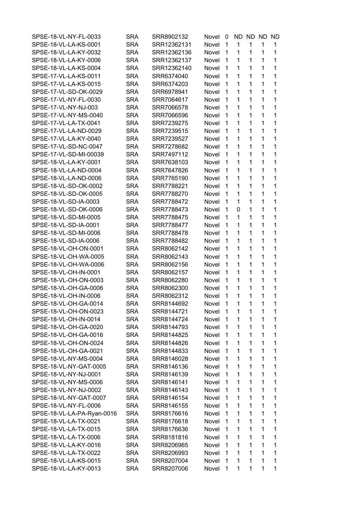| SPSE-18-VL-NY-FL-0033      | <b>SRA</b> | SRR8902132  | Novel        | 0              | ND. | ND ND       |   | ND. |
|----------------------------|------------|-------------|--------------|----------------|-----|-------------|---|-----|
| SPSE-18-VL-LA-KS-0001      | <b>SRA</b> | SRR12362131 | Novel        | 1              | 1   | 1           | 1 | 1   |
| SPSE-18-VL-LA-KY-0032      | <b>SRA</b> | SRR12362136 | Novel        | 1              | 1   | 1           | 1 | 1   |
| SPSE-18-VL-LA-KY-0006      | <b>SRA</b> | SRR12362137 | Novel        | 1              | 1   | 1           | 1 | 1   |
| SPSE-18-VL-LA-KS-0004      | <b>SRA</b> | SRR12362140 | Novel        | 1              | 1   | 1           | 1 | 1   |
| SPSE-17-VL-LA-KS-0011      | <b>SRA</b> | SRR6374040  | Novel        | $\mathbf{1}$   | 1   | 1           | 1 | 1   |
| SPSE-17-VL-LA-KS-0015      | <b>SRA</b> | SRR6374203  | Novel        | $\mathbf{1}$   | 1   | 1           | 1 | 1   |
| SPSE-17-VL-SD-OK-0029      | <b>SRA</b> | SRR6978941  | Novel        | 1              | 1   | 1           | 1 | 1   |
| SPSE-17-VL-NY-FL-0030      | <b>SRA</b> | SRR7064617  | <b>Novel</b> | 1              | 1   | 1           | 1 | 1   |
| SPSE-17-VL-NY-NJ-003       | <b>SRA</b> | SRR7066578  | Novel        | 1              | 1   | 1           | 1 | 1   |
| SPSE-17-VL-NY-MS-0040      | <b>SRA</b> | SRR7066596  | Novel        | 1              | 1   | 1           | 1 | 1   |
| SPSE-17-VL-LA-TX-0041      | <b>SRA</b> | SRR7239275  | Novel        | 1              | 1   | 1           | 1 | 1   |
| SPSE-17-VL-LA-ND-0029      | <b>SRA</b> | SRR7239515  | Novel        | 1              | 1   | 1           | 1 | 1   |
| SPSE-17-VL-LA-KY-0040      | <b>SRA</b> | SRR7239527  | Novel        | 1              | 1   | 1           | 1 | 1   |
| SPSE-17-VL-SD-NC-0047      | <b>SRA</b> | SRR7278682  | Novel        | 1              | 1   | 1           | 1 | 1   |
| SPSE-17-VL-SD-MI-00039     |            |             |              |                | 1   | 1           | 1 | 1   |
|                            | <b>SRA</b> | SRR7497112  | Novel        | 1              |     |             |   |     |
| SPSE-18-VL-LA-KY-0001      | <b>SRA</b> | SRR7638103  | Novel        | 1              | 1   | 1           | 1 | 1   |
| SPSE-18-VL-LA-ND-0004      | <b>SRA</b> | SRR7647826  | Novel        | $\mathbf{1}$   | 1   | 1           | 1 | 1   |
| SPSE-18-VL-LA-ND-0006      | <b>SRA</b> | SRR7765190  | Novel        | 1              | 1   | 1           | 1 | 1   |
| SPSE-18-VL-SD-OK-0002      | <b>SRA</b> | SRR7788221  | Novel        | 1              | 1   | 1           | 1 | 1   |
| SPSE-18-VL-SD-OK-0005      | <b>SRA</b> | SRR7788270  | Novel        | 1              | 1   | 1           | 1 | 1   |
| SPSE-18-VL-SD-IA-0003      | <b>SRA</b> | SRR7788472  | Novel        | 1              | 1   | 1           | 1 | 1   |
| SPSE-18-VL-SD-OK-0006      | <b>SRA</b> | SRR7788473  | Novel        | 1              | 0   | 1           | 1 | 1   |
| SPSE-18-VL-SD-MI-0005      | <b>SRA</b> | SRR7788475  | Novel        | $\mathbf 1$    | 1   | 1           | 1 | 1   |
| SPSE-18-VL-SD-IA-0001      | <b>SRA</b> | SRR7788477  | Novel        | $\mathbf{1}$   | 1   | 1           | 1 | 1   |
| SPSE-18-VL-SD-MI-0006      | <b>SRA</b> | SRR7788478  | Novel        | 1              | 1   | 1           | 1 | 1   |
| SPSE-18-VL-SD-IA-0006      | <b>SRA</b> | SRR7788482  | Novel        | 1              | 1   | 1           | 1 | 1   |
| SPSE-18-VL-OH-ON-0001      | <b>SRA</b> | SRR8062142  | Novel        | 1              | 1   | 1           | 1 | 1   |
| SPSE-18-VL-OH-WA-0005      | <b>SRA</b> | SRR8062143  | Novel        | 1              | 1   | 1           | 1 | 1   |
| SPSE-18-VL-OH-WA-0006      | <b>SRA</b> | SRR8062156  | Novel        | 1              | 1   | 1           | 1 | 1   |
| SPSE-18-VL-OH-IN-0001      | <b>SRA</b> | SRR8062157  | Novel        | 1              | 1   | 1           | 1 | 1   |
| SPSE-18-VL-OH-ON-0003      | <b>SRA</b> | SRR8062280  | Novel        | $\mathbf 1$    | 1   | $\mathbf 1$ | 1 | 1   |
| SPSE-18-VL-OH-GA-0006      | <b>SRA</b> | SRR8062300  | Novel        | 1              | 1   | 1           | 1 | 1   |
| SPSE-18-VL-OH-IN-0006      | <b>SRA</b> | SRR8062312  | Novel        | 1              | 1   | 1           | 1 | 1   |
| SPSE-18-VL-OH-GA-0014      | <b>SRA</b> | SRR8144692  | Novel 1      |                | 1   | 1.          | 1 | 1   |
| SPSE-18-VL-OH-ON-0023      | SRA        | SRR8144721  | Novel        | $\overline{1}$ | 1   | 1           | 1 | 1   |
| SPSE-18-VL-OH-IN-0014      | <b>SRA</b> | SRR8144724  | Novel        | $\mathbf{1}$   | 1   | 1           | 1 | 1   |
| SPSE-18-VL-OH-GA-0020      | SRA        | SRR8144793  | Novel        | -1             | 1   | 1           | 1 | 1   |
| SPSE-18-VL-OH-GA-0016      | <b>SRA</b> | SRR8144825  | Novel        | 1              | 1   | 1           | 1 | 1   |
| SPSE-18-VL-OH-ON-0024      | SRA        | SRR8144826  | Novel        | 1              | 1   | 1           | 1 | 1   |
| SPSE-18-VL-OH-GA-0021      | SRA        | SRR8144833  | Novel        | 1              | 1   | 1           | 1 | 1   |
| SPSE-18-VL-NY-MS-0004      | <b>SRA</b> | SRR8146028  | Novel        | 1              | 1   | 1           | 1 | 1   |
| SPSE-18-VL-NY-GAT-0005     | SRA        | SRR8146136  | Novel        | $\mathbf{1}$   | 1   | 1           | 1 | 1   |
| SPSE-18-VL-NY-NJ-0001      | SRA        | SRR8146139  | Novel        | $\mathbf{1}$   | 1   | 1           | 1 | 1   |
| SPSE-18-VL-NY-MS-0006      | <b>SRA</b> | SRR8146141  | Novel        | 1              | 1   | 1           | 1 | 1   |
| SPSE-18-VL-NY-NJ-0002      | SRA        | SRR8146143  | Novel        | 1              | 1   | 1           | 1 | 1   |
| SPSE-18-VL-NY-GAT-0007     | SRA        | SRR8146154  | Novel        | 1              | 1   | 1           | 1 | 1   |
| SPSE-18-VL-NY-FL-0006      | <b>SRA</b> | SRR8146155  | Novel        | 1              | 1   | 1           | 1 | 1   |
|                            |            |             | Novel        | $\mathbf{1}$   | 1   | 1           | 1 | 1   |
| SPSE-18-VL-LA-PA-Ryan-0016 | SRA        | SRR8176616  |              |                |     |             |   |     |
| SPSE-18-VL-LA-TX-0021      | SRA        | SRR8176618  | Novel        | $\mathbf{1}$   | 1   | 1           | 1 | 1   |
| SPSE-18-VL-LA-TX-0015      | <b>SRA</b> | SRR8176636  | Novel        | $\mathbf{1}$   | 1   | 1           | 1 | 1   |
| SPSE-18-VL-LA-TX-0006      | <b>SRA</b> | SRR8181816  | Novel        | 1              | 1   | 1           | 1 | 1   |
| SPSE-18-VL-LA-KY-0016      | SRA        | SRR8206965  | Novel        | 1              | 1   | 1           | 1 | 1   |
| SPSE-18-VL-LA-TX-0022      | <b>SRA</b> | SRR8206993  | Novel        | 1              | 1   | 1           | 1 | 1   |
| SPSE-18-VL-LA-KS-0015      | SRA        | SRR8207004  | Novel        | 1              | 1   | 1           | 1 | 1   |
| SPSE-18-VL-LA-KY-0013      | <b>SRA</b> | SRR8207006  | Novel        | 1              | 1   | 1           | 1 | 1   |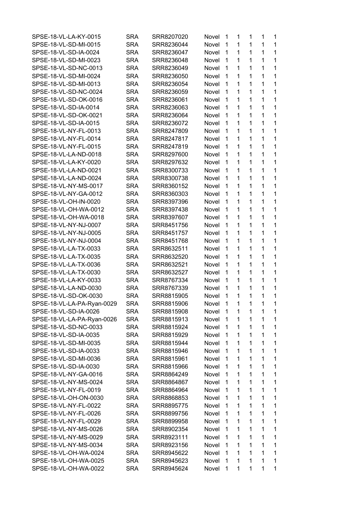| SPSE-18-VL-LA-KY-0015      | SRA        | SRR8207020               | Novel        | 1              | 1            | 1            | 1 | 1           |
|----------------------------|------------|--------------------------|--------------|----------------|--------------|--------------|---|-------------|
| SPSE-18-VL-SD-MI-0015      | <b>SRA</b> | SRR8236044               | Novel        | 1              | 1            | 1            | 1 | 1           |
| SPSE-18-VL-SD-IA-0024      | <b>SRA</b> | SRR8236047               | Novel        | 1              | 1            | 1            | 1 | 1           |
| SPSE-18-VL-SD-MI-0023      | SRA        | SRR8236048               | Novel        | 1              | 1            | 1            | 1 | 1           |
| SPSE-18-VL-SD-NC-0013      | <b>SRA</b> | SRR8236049               | Novel        | 1              | 1            | 1            | 1 | $\mathbf 1$ |
| SPSE-18-VL-SD-MI-0024      | SRA        | SRR8236050               | Novel        | 1              | 1            | 1            | 1 | 1           |
| SPSE-18-VL-SD-MI-0013      | SRA        | SRR8236054               | Novel        | 1              | 1            | 1            | 1 | 1           |
| SPSE-18-VL-SD-NC-0024      | <b>SRA</b> | SRR8236059               | Novel        | 1              | 1            | 1            | 1 | 1           |
| SPSE-18-VL-SD-OK-0016      | SRA        | SRR8236061               | Novel        | 1              | 1            | 1            | 1 | 1           |
| SPSE-18-VL-SD-IA-0014      | SRA        | SRR8236063               | Novel        | 1              | 1            | 1            | 1 | 1           |
| SPSE-18-VL-SD-OK-0021      | <b>SRA</b> | SRR8236064               | Novel        | 1              | 1            | 1            | 1 | 1           |
|                            |            |                          |              |                | 1            |              | 1 |             |
| SPSE-18-VL-SD-IA-0015      | SRA        | SRR8236072               | Novel        | 1              |              | 1            |   | 1           |
| SPSE-18-VL-NY-FL-0013      | SRA        | SRR8247809               | <b>Novel</b> | 1              | $\mathbf{1}$ | 1            | 1 | 1           |
| SPSE-18-VL-NY-FL-0014      | SRA        | SRR8247817               | <b>Novel</b> | 1              | 1            | 1            | 1 | 1           |
| SPSE-18-VL-NY-FL-0015      | SRA        | SRR8247819               | Novel        | 1              | 1            | 1            | 1 | 1           |
| SPSE-18-VL-LA-ND-0018      | SRA        | SRR8297600               | Novel        | 1              | 1            | 1            | 1 | 1           |
| SPSE-18-VL-LA-KY-0020      | <b>SRA</b> | SRR8297632               | Novel        | 1              | 1            | 1            | 1 | 1           |
| SPSE-18-VL-LA-ND-0021      | SRA        | SRR8300733               | Novel        | 1              | 1            | 1            | 1 | 1           |
| SPSE-18-VL-LA-ND-0024      | SRA        | SRR8300738               | <b>Novel</b> | 1              | 1            | 1            | 1 | 1           |
| SPSE-18-VL-NY-MS-0017      | SRA        | SRR8360152               | Novel        | 1              | 1            | 1            | 1 | 1           |
| SPSE-18-VL-NY-GA-0012      | SRA        | SRR8360303               | Novel        | 1              | 1            | 1            | 1 | 1           |
| SPSE-18-VL-OH-IN-0020      | <b>SRA</b> | SRR8397396               | <b>Novel</b> | 1              | 1            | 1            | 1 | 1           |
| SPSE-18-VL-OH-WA-0012      | SRA        | SRR8397438               | Novel        | 1              | 1            | 1            | 1 | 1           |
| SPSE-18-VL-OH-WA-0018      | SRA        | SRR8397607               | Novel        | 1              | 1            | 1            | 1 | 1           |
| SPSE-18-VL-NY-NJ-0007      | SRA        | SRR8451756               | Novel        | 1              | $\mathbf{1}$ | 1            | 1 | 1           |
| SPSE-18-VL-NY-NJ-0005      | SRA        | SRR8451757               | Novel        | 1              | 1            | 1            | 1 | 1           |
| SPSE-18-VL-NY-NJ-0004      | SRA        | SRR8451768               | Novel        | 1              | 1            | 1            | 1 | 1           |
| SPSE-18-VL-LA-TX-0033      | SRA        | SRR8632511               | Novel        | 1              | 1            | 1            | 1 | 1           |
| SPSE-18-VL-LA-TX-0035      | SRA        | SRR8632520               | Novel        | 1              | 1            | 1            | 1 | 1           |
| SPSE-18-VL-LA-TX-0036      | <b>SRA</b> | SRR8632521               | Novel        | 1              | 1            | 1            | 1 | 1           |
| SPSE-18-VL-LA-TX-0030      | SRA        | SRR8632527               | Novel        | 1              | 1            | 1            | 1 | 1           |
| SPSE-18-VL-LA-KY-0033      | SRA        | SRR8767334               | Novel        | 1              | 1            | 1            | 1 | 1           |
| SPSE-18-VL-LA-ND-0030      | <b>SRA</b> |                          |              | 1              | 1            | 1            | 1 | 1           |
| SPSE-18-VL-SD-OK-0030      |            | SRR8767339<br>SRR8815905 | Novel        | 1              | 1            | 1            | 1 | 1           |
|                            | SRA        |                          | Novel        |                |              |              |   |             |
| SPSE-18-VL-LA-PA-Ryan-0029 | <b>SRA</b> | SRR8815906               | Novel        | 1              | 1            | 1            | 1 | 1           |
| SPSE-18-VL-SD-IA-0026      | SRA        | SRR8815908               | Novel        | $\overline{1}$ | 1            | 1            | 1 | 1           |
| SPSE-18-VL-LA-PA-Ryan-0026 | <b>SRA</b> | SRR8815913               | Novel        | 1              | 1            | 1            | 1 | 1           |
| SPSE-18-VL-SD-NC-0033      | SRA        | SRR8815924               | Novel        | 1              | 1            | 1            | 1 | 1           |
| SPSE-18-VL-SD-IA-0035      | <b>SRA</b> | SRR8815929               | Novel        | 1              | 1            | 1            | 1 | $\mathbf 1$ |
| SPSE-18-VL-SD-MI-0035      | <b>SRA</b> | SRR8815944               | Novel        | 1              | 1            | $\mathbf 1$  | 1 | 1           |
| SPSE-18-VL-SD-IA-0033      | SRA        | SRR8815946               | Novel        | 1              | 1            | $\mathbf 1$  | 1 | 1           |
| SPSE-18-VL-SD-MI-0036      | <b>SRA</b> | SRR8815961               | Novel        | 1              | 1            | 1            | 1 | 1           |
| SPSE-18-VL-SD-IA-0030      | SRA        | SRR8815966               | Novel        | 1              | 1            | 1            | 1 | 1           |
| SPSE-18-VL-NY-GA-0016      | SRA        | SRR8864249               | Novel        | 1              | 1            | 1            | 1 | 1           |
| SPSE-18-VL-NY-MS-0024      | <b>SRA</b> | SRR8864867               | Novel        | 1              | 1            | $\mathbf 1$  | 1 | 1           |
| SPSE-18-VL-NY-FL-0019      | <b>SRA</b> | SRR8864964               | Novel        | 1              | 1            | 1            | 1 | 1           |
| SPSE-18-VL-OH-ON-0030      | SRA        | SRR8868853               | Novel        | 1              | 1            | $\mathbf 1$  | 1 | 1           |
| SPSE-18-VL-NY-FL-0022      | SRA        | SRR8895775               | Novel        | 1              | 1            | 1            | 1 | 1           |
| SPSE-18-VL-NY-FL-0026      | SRA        | SRR8899756               | Novel        | 1              | 1            | 1            | 1 | 1           |
| SPSE-18-VL-NY-FL-0029      | SRA        | SRR8899958               | Novel        | 1              | 1            | 1            | 1 | 1           |
| SPSE-18-VL-NY-MS-0026      | <b>SRA</b> | SRR8902354               | Novel        | 1              | 1            | $\mathbf 1$  | 1 | 1           |
| SPSE-18-VL-NY-MS-0029      |            | SRR8923111               | Novel        | 1              | 1            | 1            | 1 | 1           |
|                            | <b>SRA</b> | SRR8923156               | Novel        | 1              | 1            | $\mathbf{1}$ | 1 | 1           |
| SPSE-18-VL-NY-MS-0034      | <b>SRA</b> |                          |              |                |              |              |   |             |
| SPSE-18-VL-OH-WA-0024      | <b>SRA</b> | SRR8945622               | Novel        | 1              | 1            | 1            | 1 | 1           |
| SPSE-18-VL-OH-WA-0025      | <b>SRA</b> | SRR8945623               | Novel        | 1              | 1            | 1            | 1 | 1           |
| SPSE-18-VL-OH-WA-0022      | <b>SRA</b> | SRR8945624               | Novel        | 1              | 1            | 1            | 1 | 1           |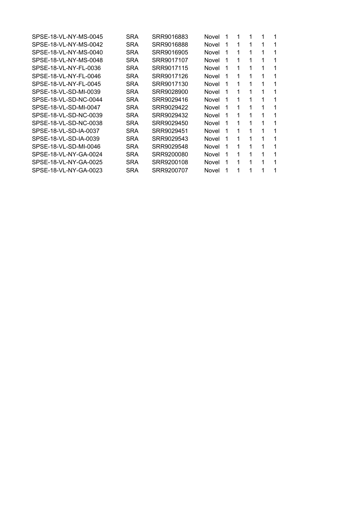| SPSE-18-VL-NY-MS-0045 | SRA | SRR9016883 | Novel | 1 | 1            | 1 | 1 |   |
|-----------------------|-----|------------|-------|---|--------------|---|---|---|
| SPSE-18-VL-NY-MS-0042 | SRA | SRR9016888 | Novel | 1 | 1            | 1 | 1 |   |
| SPSE-18-VL-NY-MS-0040 | SRA | SRR9016905 | Novel | 1 | $\mathbf{1}$ | 1 | 1 | 1 |
| SPSE-18-VL-NY-MS-0048 | SRA | SRR9017107 | Novel | 1 | 1            | 1 | 1 | 1 |
| SPSE-18-VL-NY-FL-0036 | SRA | SRR9017115 | Novel | 1 | 1            | 1 | 1 | 1 |
| SPSE-18-VL-NY-FL-0046 | SRA | SRR9017126 | Novel | 1 | 1            | 1 | 1 | 1 |
| SPSE-18-VL-NY-FL-0045 | SRA | SRR9017130 | Novel | 1 | 1            | 1 | 1 | 1 |
| SPSE-18-VL-SD-MI-0039 | SRA | SRR9028900 | Novel | 1 | 1            | 1 | 1 |   |
| SPSE-18-VL-SD-NC-0044 | SRA | SRR9029416 | Novel | 1 | 1            | 1 | 1 | 1 |
| SPSE-18-VL-SD-MI-0047 | SRA | SRR9029422 | Novel | 1 | 1            | 1 | 1 | 1 |
| SPSE-18-VL-SD-NC-0039 | SRA | SRR9029432 | Novel | 1 | 1            | 1 | 1 | 1 |
| SPSE-18-VL-SD-NC-0038 | SRA | SRR9029450 | Novel | 1 | 1            | 1 | 1 | 1 |
| SPSE-18-VL-SD-IA-0037 | SRA | SRR9029451 | Novel | 1 | 1            | 1 | 1 | 1 |
| SPSE-18-VL-SD-IA-0039 | SRA | SRR9029543 | Novel | 1 | 1            | 1 | 1 | 1 |
| SPSE-18-VL-SD-MI-0046 | SRA | SRR9029548 | Novel | 1 | 1            | 1 | 1 | 1 |
| SPSE-18-VL-NY-GA-0024 | SRA | SRR9200080 | Novel | 1 | 1            | 1 | 1 | 1 |
| SPSE-18-VL-NY-GA-0025 | SRA | SRR9200108 | Novel | 1 | 1            | 1 | 1 | 1 |
| SPSE-18-VL-NY-GA-0023 | SRA | SRR9200707 | Novel |   | 1            | 1 | 1 | 1 |
|                       |     |            |       |   |              |   |   |   |